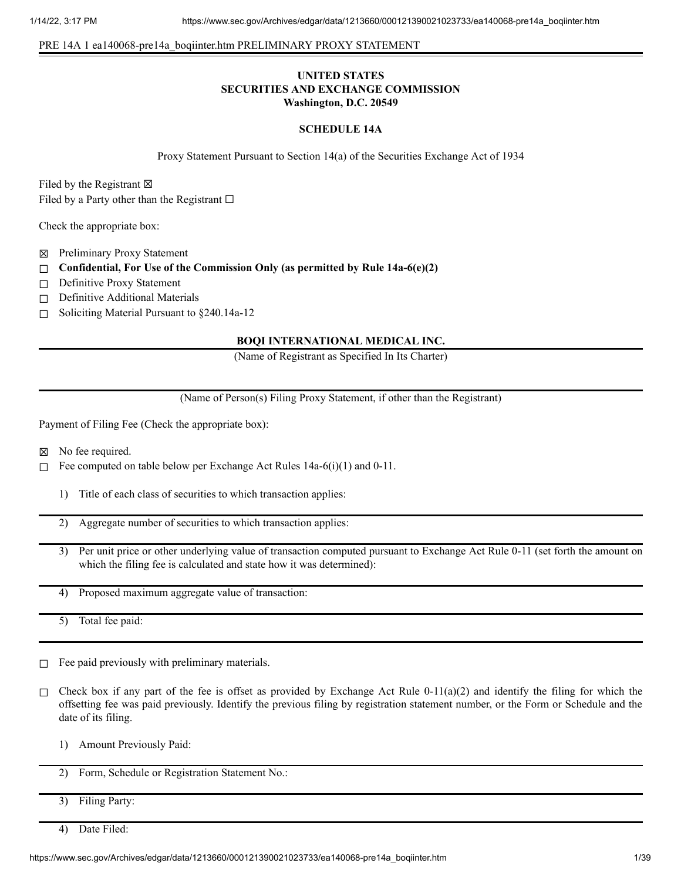## PRE 14A 1 ea140068-pre14a\_boqiinter.htm PRELIMINARY PROXY STATEMENT

## **UNITED STATES SECURITIES AND EXCHANGE COMMISSION Washington, D.C. 20549**

#### **SCHEDULE 14A**

Proxy Statement Pursuant to Section 14(a) of the Securities Exchange Act of 1934

Filed by the Registrant  $\boxtimes$ Filed by a Party other than the Registrant  $\Box$ 

Check the appropriate box:

- ☒ Preliminary Proxy Statement
- ☐ **Confidential, For Use of the Commission Only (as permitted by Rule 14a-6(e)(2)**
- □ Definitive Proxy Statement
- □ Definitive Additional Materials
- ☐ Soliciting Material Pursuant to §240.14a-12

## **BOQI INTERNATIONAL MEDICAL INC.**

(Name of Registrant as Specified In Its Charter)

(Name of Person(s) Filing Proxy Statement, if other than the Registrant)

Payment of Filing Fee (Check the appropriate box):

- ☒ No fee required.
- □ Fee computed on table below per Exchange Act Rules  $14a-6(i)(1)$  and  $0-11$ .
	- 1) Title of each class of securities to which transaction applies:
	- 2) Aggregate number of securities to which transaction applies:
	- 3) Per unit price or other underlying value of transaction computed pursuant to Exchange Act Rule 0-11 (set forth the amount on which the filing fee is calculated and state how it was determined):
	- 4) Proposed maximum aggregate value of transaction:
	- 5) Total fee paid:
- $□$  Fee paid previously with preliminary materials.
- □ Check box if any part of the fee is offset as provided by Exchange Act Rule 0-11(a)(2) and identify the filing for which the offsetting fee was paid previously. Identify the previous filing by registration statement number, or the Form or Schedule and the date of its filing.
	- 1) Amount Previously Paid:
	- 2) Form, Schedule or Registration Statement No.:
	- 3) Filing Party:
	- 4) Date Filed: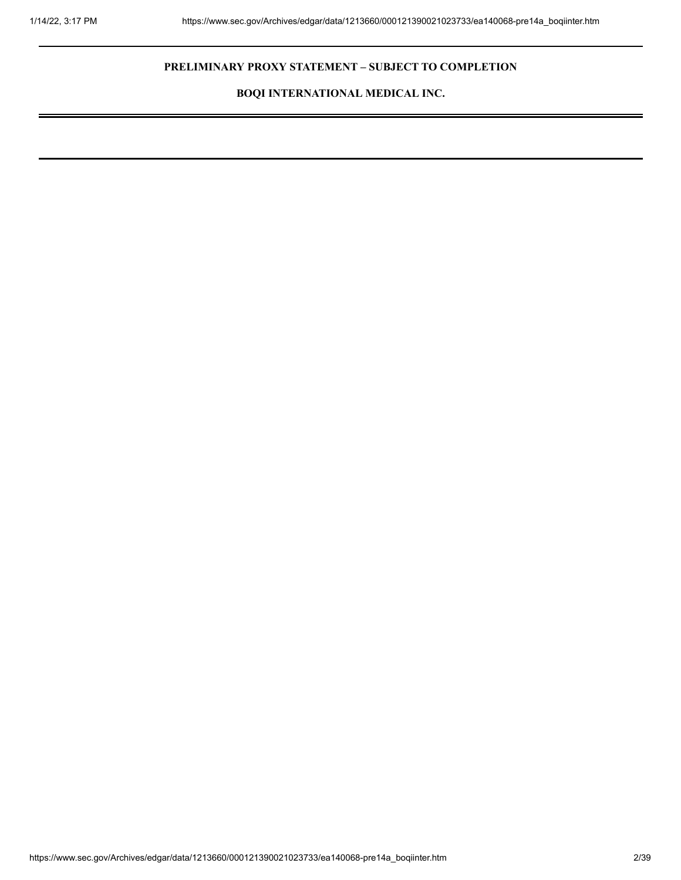# **PRELIMINARY PROXY STATEMENT – SUBJECT TO COMPLETION**

**BOQI INTERNATIONAL MEDICAL INC.**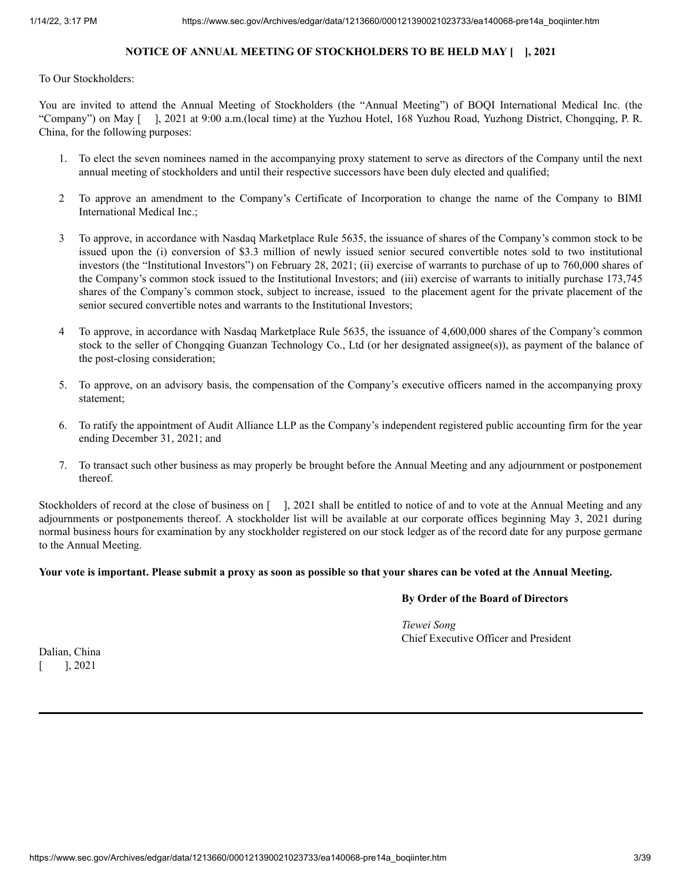# **NOTICE OF ANNUAL MEETING OF STOCKHOLDERS TO BE HELD MAY [ ], 2021**

To Our Stockholders:

You are invited to attend the Annual Meeting of Stockholders (the "Annual Meeting") of BOQI International Medical Inc. (the "Company") on May [ ], 2021 at 9:00 a.m.(local time) at the Yuzhou Hotel, 168 Yuzhou Road, Yuzhong District, Chongqing, P. R. China, for the following purposes:

- 1. To elect the seven nominees named in the accompanying proxy statement to serve as directors of the Company until the next annual meeting of stockholders and until their respective successors have been duly elected and qualified;
- 2 To approve an amendment to the Company's Certificate of Incorporation to change the name of the Company to BIMI International Medical Inc.;
- 3 To approve, in accordance with Nasdaq Marketplace Rule 5635, the issuance of shares of the Company's common stock to be issued upon the (i) conversion of \$3.3 million of newly issued senior secured convertible notes sold to two institutional investors (the "Institutional Investors") on February 28, 2021; (ii) exercise of warrants to purchase of up to 760,000 shares of the Company's common stock issued to the Institutional Investors; and (iii) exercise of warrants to initially purchase 173,745 shares of the Company's common stock, subject to increase, issued to the placement agent for the private placement of the senior secured convertible notes and warrants to the Institutional Investors;
- 4 To approve, in accordance with Nasdaq Marketplace Rule 5635, the issuance of 4,600,000 shares of the Company's common stock to the seller of Chongqing Guanzan Technology Co., Ltd (or her designated assignee(s)), as payment of the balance of the post-closing consideration;
- 5. To approve, on an advisory basis, the compensation of the Company's executive officers named in the accompanying proxy statement;
- 6. To ratify the appointment of Audit Alliance LLP as the Company's independent registered public accounting firm for the year ending December 31, 2021; and
- 7. To transact such other business as may properly be brought before the Annual Meeting and any adjournment or postponement thereof.

Stockholders of record at the close of business on [ ], 2021 shall be entitled to notice of and to vote at the Annual Meeting and any adjournments or postponements thereof. A stockholder list will be available at our corporate offices beginning May 3, 2021 during normal business hours for examination by any stockholder registered on our stock ledger as of the record date for any purpose germane to the Annual Meeting.

# Your vote is important. Please submit a proxy as soon as possible so that your shares can be voted at the Annual Meeting.

# **By Order of the Board of Directors**

*Tiewei Song* Chief Executive Officer and President

Dalian, China  $[$ , 2021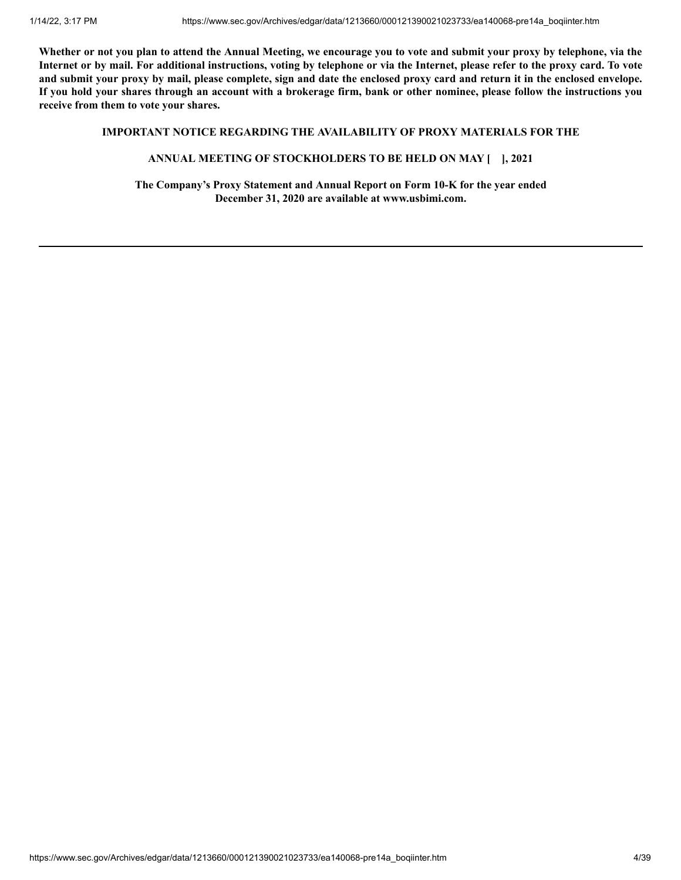Whether or not you plan to attend the Annual Meeting, we encourage you to vote and submit your proxy by telephone, via the Internet or by mail. For additional instructions, voting by telephone or via the Internet, please refer to the proxy card. To vote and submit your proxy by mail, please complete, sign and date the enclosed proxy card and return it in the enclosed envelope. If you hold your shares through an account with a brokerage firm, bank or other nominee, please follow the instructions you **receive from them to vote your shares.**

## **IMPORTANT NOTICE REGARDING THE AVAILABILITY OF PROXY MATERIALS FOR THE**

## **ANNUAL MEETING OF STOCKHOLDERS TO BE HELD ON MAY [ ], 2021**

**The Company's Proxy Statement and Annual Report on Form 10-K for the year ended December 31, 2020 are available at www.usbimi.com.**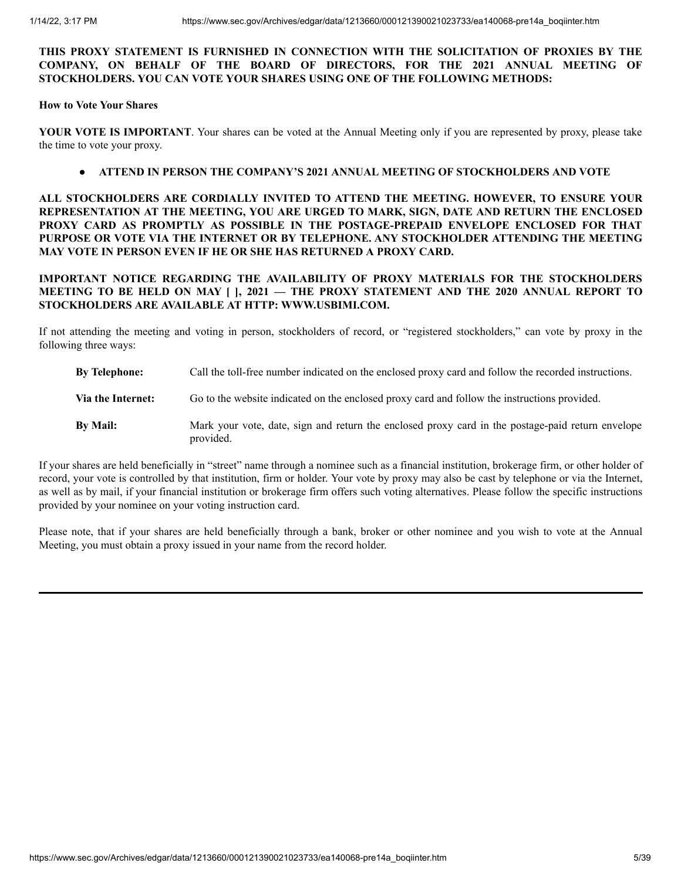## **THIS PROXY STATEMENT IS FURNISHED IN CONNECTION WITH THE SOLICITATION OF PROXIES BY THE COMPANY, ON BEHALF OF THE BOARD OF DIRECTORS, FOR THE 2021 ANNUAL MEETING OF STOCKHOLDERS. YOU CAN VOTE YOUR SHARES USING ONE OF THE FOLLOWING METHODS:**

## **How to Vote Your Shares**

**YOUR VOTE IS IMPORTANT**. Your shares can be voted at the Annual Meeting only if you are represented by proxy, please take the time to vote your proxy.

# ● **ATTEND IN PERSON THE COMPANY'S 2021 ANNUAL MEETING OF STOCKHOLDERS AND VOTE**

**ALL STOCKHOLDERS ARE CORDIALLY INVITED TO ATTEND THE MEETING. HOWEVER, TO ENSURE YOUR REPRESENTATION AT THE MEETING, YOU ARE URGED TO MARK, SIGN, DATE AND RETURN THE ENCLOSED PROXY CARD AS PROMPTLY AS POSSIBLE IN THE POSTAGE-PREPAID ENVELOPE ENCLOSED FOR THAT PURPOSE OR VOTE VIA THE INTERNET OR BY TELEPHONE. ANY STOCKHOLDER ATTENDING THE MEETING MAY VOTE IN PERSON EVEN IF HE OR SHE HAS RETURNED A PROXY CARD.**

**IMPORTANT NOTICE REGARDING THE AVAILABILITY OF PROXY MATERIALS FOR THE STOCKHOLDERS MEETING TO BE HELD ON MAY [ ], 2021 — THE PROXY STATEMENT AND THE 2020 ANNUAL REPORT TO STOCKHOLDERS ARE AVAILABLE AT HTTP: WWW.USBIMI.COM.**

If not attending the meeting and voting in person, stockholders of record, or "registered stockholders," can vote by proxy in the following three ways:

- **By Telephone:** Call the toll-free number indicated on the enclosed proxy card and follow the recorded instructions.
- **Via the Internet:** Go to the website indicated on the enclosed proxy card and follow the instructions provided.
- **By Mail:** Mark your vote, date, sign and return the enclosed proxy card in the postage-paid return envelope provided.

If your shares are held beneficially in "street" name through a nominee such as a financial institution, brokerage firm, or other holder of record, your vote is controlled by that institution, firm or holder. Your vote by proxy may also be cast by telephone or via the Internet, as well as by mail, if your financial institution or brokerage firm offers such voting alternatives. Please follow the specific instructions provided by your nominee on your voting instruction card.

Please note, that if your shares are held beneficially through a bank, broker or other nominee and you wish to vote at the Annual Meeting, you must obtain a proxy issued in your name from the record holder.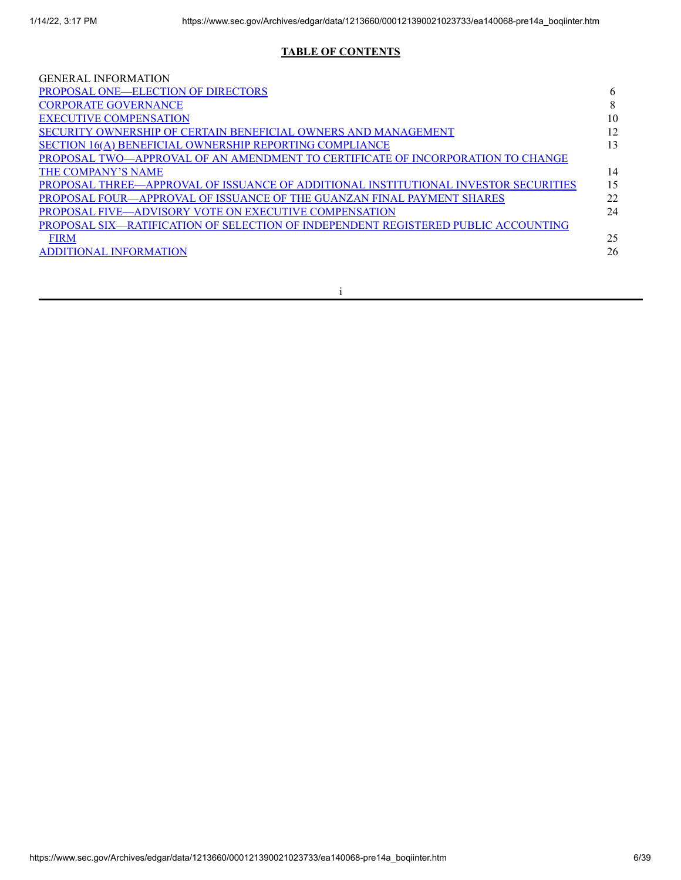# **TABLE OF CONTENTS**

| <b>GENERAL INFORMATION</b>                                                          |    |
|-------------------------------------------------------------------------------------|----|
| <b>PROPOSAL ONE—ELECTION OF DIRECTORS</b>                                           |    |
| <b>CORPORATE GOVERNANCE</b>                                                         | 8  |
| <b>EXECUTIVE COMPENSATION</b>                                                       | 10 |
| SECURITY OWNERSHIP OF CERTAIN BENEFICIAL OWNERS AND MANAGEMENT                      |    |
| SECTION 16(A) BENEFICIAL OWNERSHIP REPORTING COMPLIANCE                             | 13 |
| PROPOSAL TWO—APPROVAL OF AN AMENDMENT TO CERTIFICATE OF INCORPORATION TO CHANGE     |    |
| THE COMPANY'S NAME                                                                  | 14 |
| PROPOSAL THREE—APPROVAL OF ISSUANCE OF ADDITIONAL INSTITUTIONAL INVESTOR SECURITIES | 15 |
| PROPOSAL FOUR—APPROVAL OF ISSUANCE OF THE GUANZAN FINAL PAYMENT SHARES              | 22 |
| PROPOSAL FIVE—ADVISORY VOTE ON EXECUTIVE COMPENSATION                               | 24 |
| PROPOSAL SIX—RATIFICATION OF SELECTION OF INDEPENDENT REGISTERED PUBLIC ACCOUNTING  |    |
| <b>FIRM</b>                                                                         | 25 |
| <b>ADDITIONAL INFORMATION</b>                                                       | 26 |
|                                                                                     |    |

i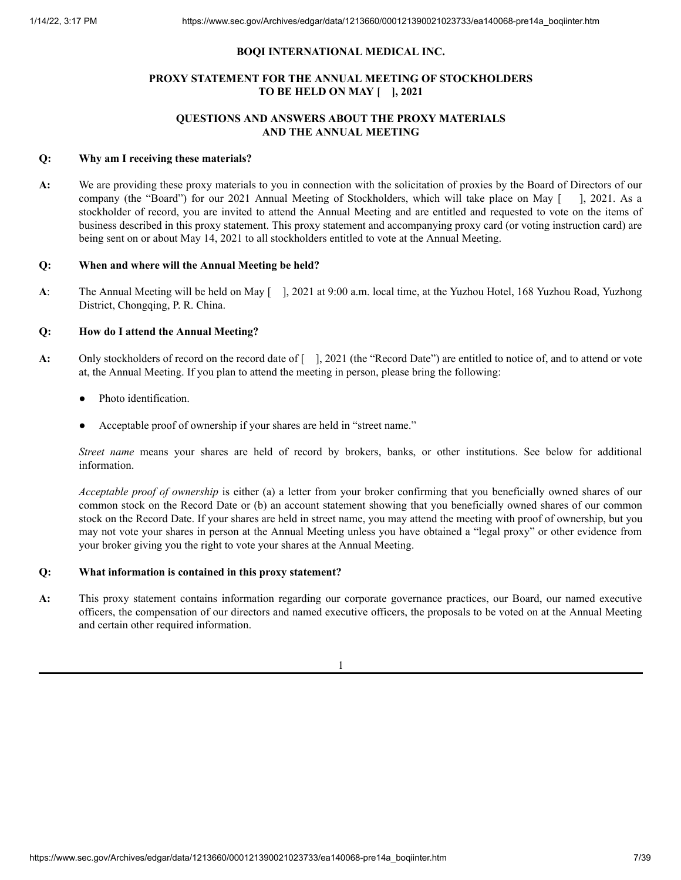## **BOQI INTERNATIONAL MEDICAL INC.**

# **PROXY STATEMENT FOR THE ANNUAL MEETING OF STOCKHOLDERS TO BE HELD ON MAY [ ], 2021**

# **QUESTIONS AND ANSWERS ABOUT THE PROXY MATERIALS AND THE ANNUAL MEETING**

## **Q: Why am I receiving these materials?**

**A:** We are providing these proxy materials to you in connection with the solicitation of proxies by the Board of Directors of our company (the "Board") for our 2021 Annual Meeting of Stockholders, which will take place on May [ ], 2021. As a stockholder of record, you are invited to attend the Annual Meeting and are entitled and requested to vote on the items of business described in this proxy statement. This proxy statement and accompanying proxy card (or voting instruction card) are being sent on or about May 14, 2021 to all stockholders entitled to vote at the Annual Meeting.

## **Q: When and where will the Annual Meeting be held?**

**A**: The Annual Meeting will be held on May [ ], 2021 at 9:00 a.m. local time, at the Yuzhou Hotel, 168 Yuzhou Road, Yuzhong District, Chongqing, P. R. China.

## **Q: How do I attend the Annual Meeting?**

- **A:** Only stockholders of record on the record date of [ ], 2021 (the "Record Date") are entitled to notice of, and to attend or vote at, the Annual Meeting. If you plan to attend the meeting in person, please bring the following:
	- Photo identification.
	- Acceptable proof of ownership if your shares are held in "street name."

*Street name* means your shares are held of record by brokers, banks, or other institutions. See below for additional information.

*Acceptable proof of ownership* is either (a) a letter from your broker confirming that you beneficially owned shares of our common stock on the Record Date or (b) an account statement showing that you beneficially owned shares of our common stock on the Record Date. If your shares are held in street name, you may attend the meeting with proof of ownership, but you may not vote your shares in person at the Annual Meeting unless you have obtained a "legal proxy" or other evidence from your broker giving you the right to vote your shares at the Annual Meeting.

## **Q: What information is contained in this proxy statement?**

**A:** This proxy statement contains information regarding our corporate governance practices, our Board, our named executive officers, the compensation of our directors and named executive officers, the proposals to be voted on at the Annual Meeting and certain other required information.

1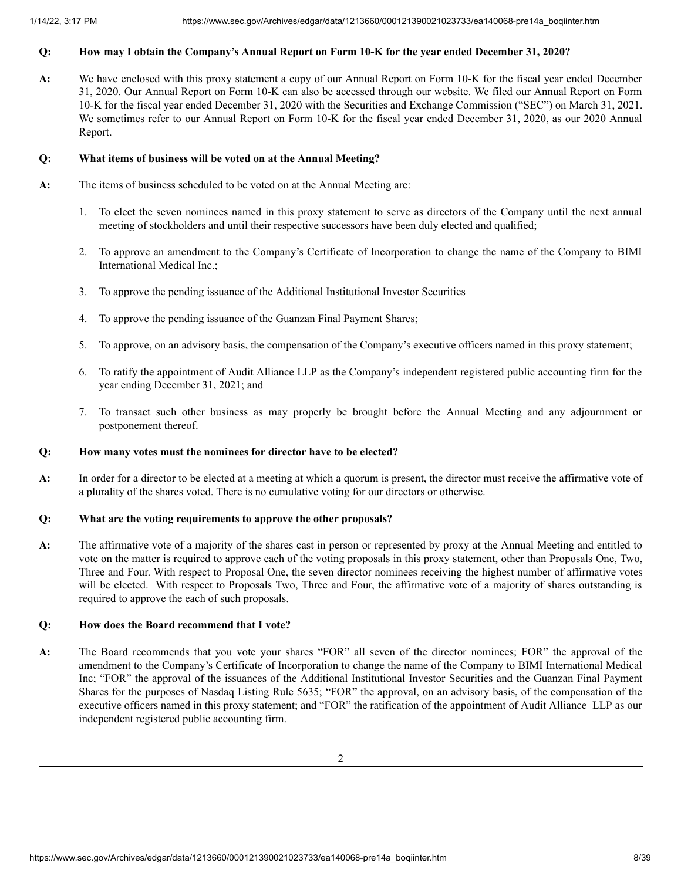# Q: How may I obtain the Company's Annual Report on Form 10-K for the year ended December 31, 2020?

**A:** We have enclosed with this proxy statement a copy of our Annual Report on Form 10-K for the fiscal year ended December 31, 2020. Our Annual Report on Form 10-K can also be accessed through our website. We filed our Annual Report on Form 10-K for the fiscal year ended December 31, 2020 with the Securities and Exchange Commission ("SEC") on March 31, 2021. We sometimes refer to our Annual Report on Form 10-K for the fiscal year ended December 31, 2020, as our 2020 Annual Report.

## **Q: What items of business will be voted on at the Annual Meeting?**

- **A:** The items of business scheduled to be voted on at the Annual Meeting are:
	- 1. To elect the seven nominees named in this proxy statement to serve as directors of the Company until the next annual meeting of stockholders and until their respective successors have been duly elected and qualified;
	- 2. To approve an amendment to the Company's Certificate of Incorporation to change the name of the Company to BIMI International Medical Inc.;
	- 3. To approve the pending issuance of the Additional Institutional Investor Securities
	- 4. To approve the pending issuance of the Guanzan Final Payment Shares;
	- 5. To approve, on an advisory basis, the compensation of the Company's executive officers named in this proxy statement;
	- 6. To ratify the appointment of Audit Alliance LLP as the Company's independent registered public accounting firm for the year ending December 31, 2021; and
	- 7. To transact such other business as may properly be brought before the Annual Meeting and any adjournment or postponement thereof.

## **Q: How many votes must the nominees for director have to be elected?**

**A:** In order for a director to be elected at a meeting at which a quorum is present, the director must receive the affirmative vote of a plurality of the shares voted. There is no cumulative voting for our directors or otherwise.

## **Q: What are the voting requirements to approve the other proposals?**

**A:** The affirmative vote of a majority of the shares cast in person or represented by proxy at the Annual Meeting and entitled to vote on the matter is required to approve each of the voting proposals in this proxy statement, other than Proposals One, Two, Three and Four. With respect to Proposal One, the seven director nominees receiving the highest number of affirmative votes will be elected. With respect to Proposals Two, Three and Four, the affirmative vote of a majority of shares outstanding is required to approve the each of such proposals.

## **Q: How does the Board recommend that I vote?**

**A:** The Board recommends that you vote your shares "FOR" all seven of the director nominees; FOR" the approval of the amendment to the Company's Certificate of Incorporation to change the name of the Company to BIMI International Medical Inc; "FOR" the approval of the issuances of the Additional Institutional Investor Securities and the Guanzan Final Payment Shares for the purposes of Nasdaq Listing Rule 5635; "FOR" the approval, on an advisory basis, of the compensation of the executive officers named in this proxy statement; and "FOR" the ratification of the appointment of Audit Alliance LLP as our independent registered public accounting firm.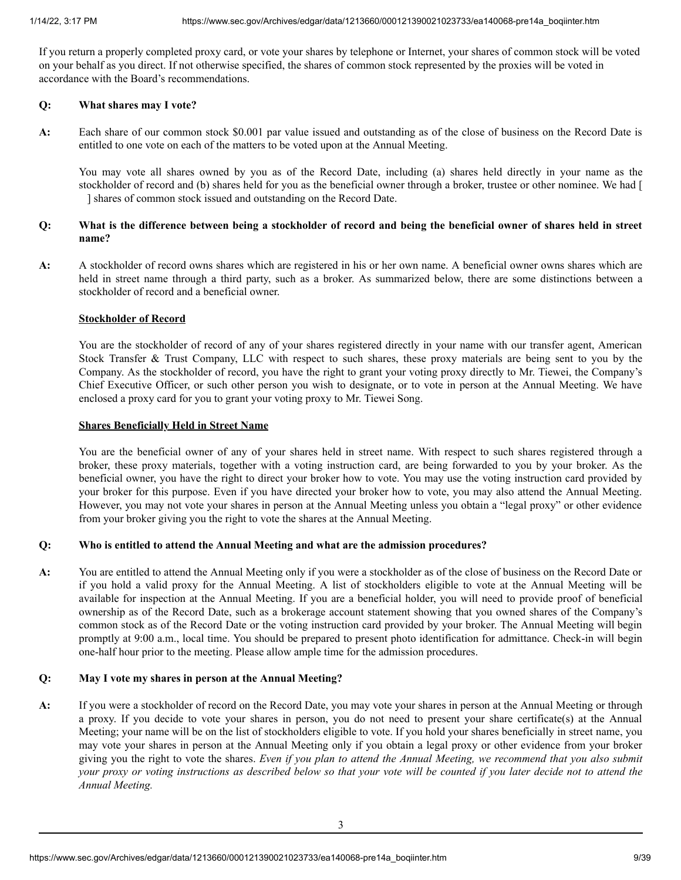If you return a properly completed proxy card, or vote your shares by telephone or Internet, your shares of common stock will be voted on your behalf as you direct. If not otherwise specified, the shares of common stock represented by the proxies will be voted in accordance with the Board's recommendations.

## **Q: What shares may I vote?**

**A:** Each share of our common stock \$0.001 par value issued and outstanding as of the close of business on the Record Date is entitled to one vote on each of the matters to be voted upon at the Annual Meeting.

You may vote all shares owned by you as of the Record Date, including (a) shares held directly in your name as the stockholder of record and (b) shares held for you as the beneficial owner through a broker, trustee or other nominee. We had [ ] shares of common stock issued and outstanding on the Record Date.

# Q: What is the difference between being a stockholder of record and being the beneficial owner of shares held in street **name?**

**A:** A stockholder of record owns shares which are registered in his or her own name. A beneficial owner owns shares which are held in street name through a third party, such as a broker. As summarized below, there are some distinctions between a stockholder of record and a beneficial owner.

# **Stockholder of Record**

You are the stockholder of record of any of your shares registered directly in your name with our transfer agent, American Stock Transfer & Trust Company, LLC with respect to such shares, these proxy materials are being sent to you by the Company. As the stockholder of record, you have the right to grant your voting proxy directly to Mr. Tiewei, the Company's Chief Executive Officer, or such other person you wish to designate, or to vote in person at the Annual Meeting. We have enclosed a proxy card for you to grant your voting proxy to Mr. Tiewei Song.

## **Shares Beneficially Held in Street Name**

You are the beneficial owner of any of your shares held in street name. With respect to such shares registered through a broker, these proxy materials, together with a voting instruction card, are being forwarded to you by your broker. As the beneficial owner, you have the right to direct your broker how to vote. You may use the voting instruction card provided by your broker for this purpose. Even if you have directed your broker how to vote, you may also attend the Annual Meeting. However, you may not vote your shares in person at the Annual Meeting unless you obtain a "legal proxy" or other evidence from your broker giving you the right to vote the shares at the Annual Meeting.

# **Q: Who is entitled to attend the Annual Meeting and what are the admission procedures?**

**A:** You are entitled to attend the Annual Meeting only if you were a stockholder as of the close of business on the Record Date or if you hold a valid proxy for the Annual Meeting. A list of stockholders eligible to vote at the Annual Meeting will be available for inspection at the Annual Meeting. If you are a beneficial holder, you will need to provide proof of beneficial ownership as of the Record Date, such as a brokerage account statement showing that you owned shares of the Company's common stock as of the Record Date or the voting instruction card provided by your broker. The Annual Meeting will begin promptly at 9:00 a.m., local time. You should be prepared to present photo identification for admittance. Check-in will begin one-half hour prior to the meeting. Please allow ample time for the admission procedures.

# **Q: May I vote my shares in person at the Annual Meeting?**

**A:** If you were a stockholder of record on the Record Date, you may vote your shares in person at the Annual Meeting or through a proxy. If you decide to vote your shares in person, you do not need to present your share certificate(s) at the Annual Meeting; your name will be on the list of stockholders eligible to vote. If you hold your shares beneficially in street name, you may vote your shares in person at the Annual Meeting only if you obtain a legal proxy or other evidence from your broker giving you the right to vote the shares. Even if you plan to attend the Annual Meeting, we recommend that you also submit your proxy or voting instructions as described below so that your vote will be counted if you later decide not to attend the *Annual Meeting.*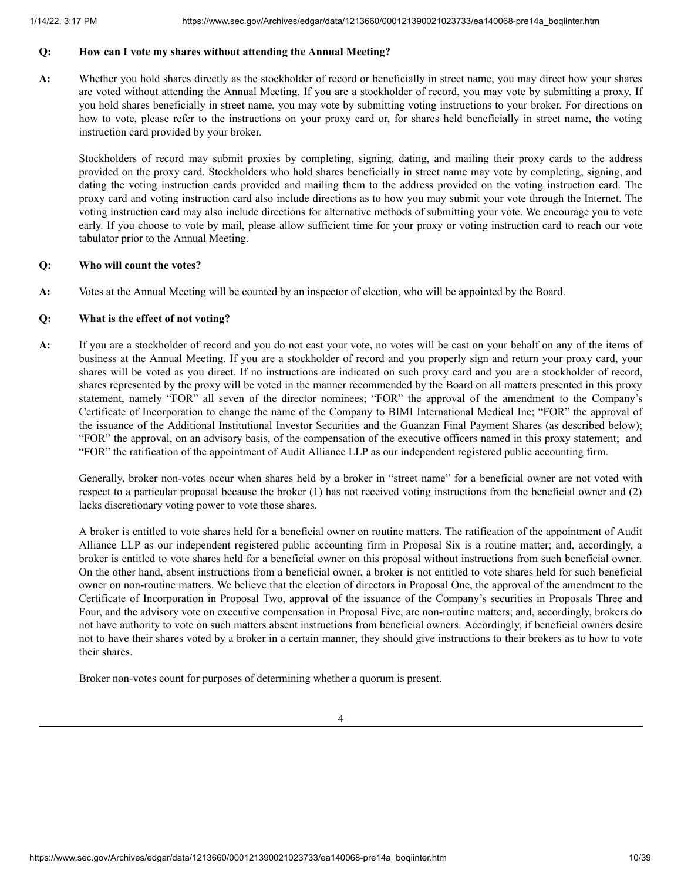# **Q: How can I vote my shares without attending the Annual Meeting?**

**A:** Whether you hold shares directly as the stockholder of record or beneficially in street name, you may direct how your shares are voted without attending the Annual Meeting. If you are a stockholder of record, you may vote by submitting a proxy. If you hold shares beneficially in street name, you may vote by submitting voting instructions to your broker. For directions on how to vote, please refer to the instructions on your proxy card or, for shares held beneficially in street name, the voting instruction card provided by your broker.

Stockholders of record may submit proxies by completing, signing, dating, and mailing their proxy cards to the address provided on the proxy card. Stockholders who hold shares beneficially in street name may vote by completing, signing, and dating the voting instruction cards provided and mailing them to the address provided on the voting instruction card. The proxy card and voting instruction card also include directions as to how you may submit your vote through the Internet. The voting instruction card may also include directions for alternative methods of submitting your vote. We encourage you to vote early. If you choose to vote by mail, please allow sufficient time for your proxy or voting instruction card to reach our vote tabulator prior to the Annual Meeting.

## **Q: Who will count the votes?**

**A:** Votes at the Annual Meeting will be counted by an inspector of election, who will be appointed by the Board.

# **Q: What is the effect of not voting?**

**A:** If you are a stockholder of record and you do not cast your vote, no votes will be cast on your behalf on any of the items of business at the Annual Meeting. If you are a stockholder of record and you properly sign and return your proxy card, your shares will be voted as you direct. If no instructions are indicated on such proxy card and you are a stockholder of record, shares represented by the proxy will be voted in the manner recommended by the Board on all matters presented in this proxy statement, namely "FOR" all seven of the director nominees; "FOR" the approval of the amendment to the Company's Certificate of Incorporation to change the name of the Company to BIMI International Medical Inc; "FOR" the approval of the issuance of the Additional Institutional Investor Securities and the Guanzan Final Payment Shares (as described below); "FOR" the approval, on an advisory basis, of the compensation of the executive officers named in this proxy statement; and "FOR" the ratification of the appointment of Audit Alliance LLP as our independent registered public accounting firm.

Generally, broker non-votes occur when shares held by a broker in "street name" for a beneficial owner are not voted with respect to a particular proposal because the broker (1) has not received voting instructions from the beneficial owner and (2) lacks discretionary voting power to vote those shares.

A broker is entitled to vote shares held for a beneficial owner on routine matters. The ratification of the appointment of Audit Alliance LLP as our independent registered public accounting firm in Proposal Six is a routine matter; and, accordingly, a broker is entitled to vote shares held for a beneficial owner on this proposal without instructions from such beneficial owner. On the other hand, absent instructions from a beneficial owner, a broker is not entitled to vote shares held for such beneficial owner on non-routine matters. We believe that the election of directors in Proposal One, the approval of the amendment to the Certificate of Incorporation in Proposal Two, approval of the issuance of the Company's securities in Proposals Three and Four, and the advisory vote on executive compensation in Proposal Five, are non-routine matters; and, accordingly, brokers do not have authority to vote on such matters absent instructions from beneficial owners. Accordingly, if beneficial owners desire not to have their shares voted by a broker in a certain manner, they should give instructions to their brokers as to how to vote their shares.

Broker non-votes count for purposes of determining whether a quorum is present.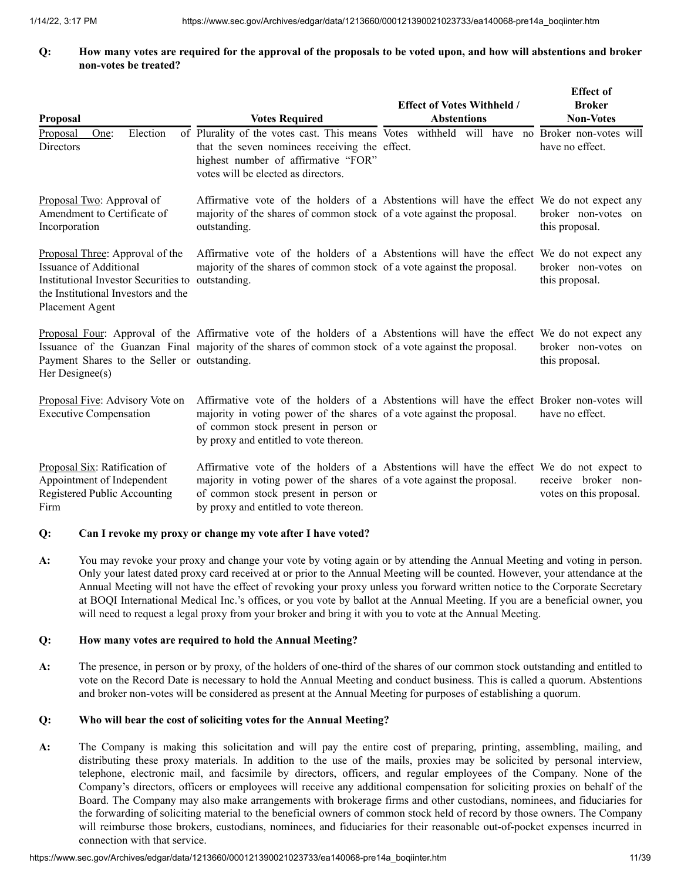## Q: How many votes are required for the approval of the proposals to be voted upon, and how will abstentions and broker **non-votes be treated?**

| <b>Proposal</b>                                                                                                                                                          | <b>Votes Required</b>                                                                                                                                                                                                                                   | <b>Effect of Votes Withheld /</b><br><b>Abstentions</b> | <b>Effect of</b><br><b>Broker</b><br><b>Non-Votes</b> |
|--------------------------------------------------------------------------------------------------------------------------------------------------------------------------|---------------------------------------------------------------------------------------------------------------------------------------------------------------------------------------------------------------------------------------------------------|---------------------------------------------------------|-------------------------------------------------------|
| Election<br>Proposal<br>One:<br><b>Directors</b>                                                                                                                         | of Plurality of the votes cast. This means Votes withheld will have no Broker non-votes will<br>that the seven nominees receiving the effect.<br>highest number of affirmative "FOR"<br>votes will be elected as directors.                             |                                                         | have no effect.                                       |
| Proposal Two: Approval of<br>Amendment to Certificate of<br>Incorporation                                                                                                | Affirmative vote of the holders of a Abstentions will have the effect We do not expect any<br>majority of the shares of common stock of a vote against the proposal.<br>outstanding.                                                                    |                                                         | broker non-votes on<br>this proposal.                 |
| Proposal Three: Approval of the<br>Issuance of Additional<br>Institutional Investor Securities to outstanding.<br>the Institutional Investors and the<br>Placement Agent | Affirmative vote of the holders of a Abstentions will have the effect We do not expect any<br>majority of the shares of common stock of a vote against the proposal.                                                                                    |                                                         | broker non-votes on<br>this proposal.                 |
| Payment Shares to the Seller or outstanding.<br>Her Designee(s)                                                                                                          | Proposal Four: Approval of the Affirmative vote of the holders of a Abstentions will have the effect We do not expect any<br>Issuance of the Guanzan Final majority of the shares of common stock of a vote against the proposal.                       |                                                         | broker non-votes on<br>this proposal.                 |
| Proposal Five: Advisory Vote on<br><b>Executive Compensation</b>                                                                                                         | Affirmative vote of the holders of a Abstentions will have the effect Broker non-votes will<br>majority in voting power of the shares of a vote against the proposal.<br>of common stock present in person or<br>by proxy and entitled to vote thereon. |                                                         | have no effect.                                       |
| Proposal Six: Ratification of<br>Appointment of Independent<br>Registered Public Accounting<br>Firm                                                                      | Affirmative vote of the holders of a Abstentions will have the effect We do not expect to<br>majority in voting power of the shares of a vote against the proposal.<br>of common stock present in person or<br>by proxy and entitled to vote thereon.   |                                                         | receive broker non-<br>votes on this proposal.        |

## **Q: Can I revoke my proxy or change my vote after I have voted?**

**A:** You may revoke your proxy and change your vote by voting again or by attending the Annual Meeting and voting in person. Only your latest dated proxy card received at or prior to the Annual Meeting will be counted. However, your attendance at the Annual Meeting will not have the effect of revoking your proxy unless you forward written notice to the Corporate Secretary at BOQI International Medical Inc.'s offices, or you vote by ballot at the Annual Meeting. If you are a beneficial owner, you will need to request a legal proxy from your broker and bring it with you to vote at the Annual Meeting.

## **Q: How many votes are required to hold the Annual Meeting?**

**A:** The presence, in person or by proxy, of the holders of one-third of the shares of our common stock outstanding and entitled to vote on the Record Date is necessary to hold the Annual Meeting and conduct business. This is called a quorum. Abstentions and broker non-votes will be considered as present at the Annual Meeting for purposes of establishing a quorum.

# **Q: Who will bear the cost of soliciting votes for the Annual Meeting?**

**A:** The Company is making this solicitation and will pay the entire cost of preparing, printing, assembling, mailing, and distributing these proxy materials. In addition to the use of the mails, proxies may be solicited by personal interview, telephone, electronic mail, and facsimile by directors, officers, and regular employees of the Company. None of the Company's directors, officers or employees will receive any additional compensation for soliciting proxies on behalf of the Board. The Company may also make arrangements with brokerage firms and other custodians, nominees, and fiduciaries for the forwarding of soliciting material to the beneficial owners of common stock held of record by those owners. The Company will reimburse those brokers, custodians, nominees, and fiduciaries for their reasonable out-of-pocket expenses incurred in connection with that service.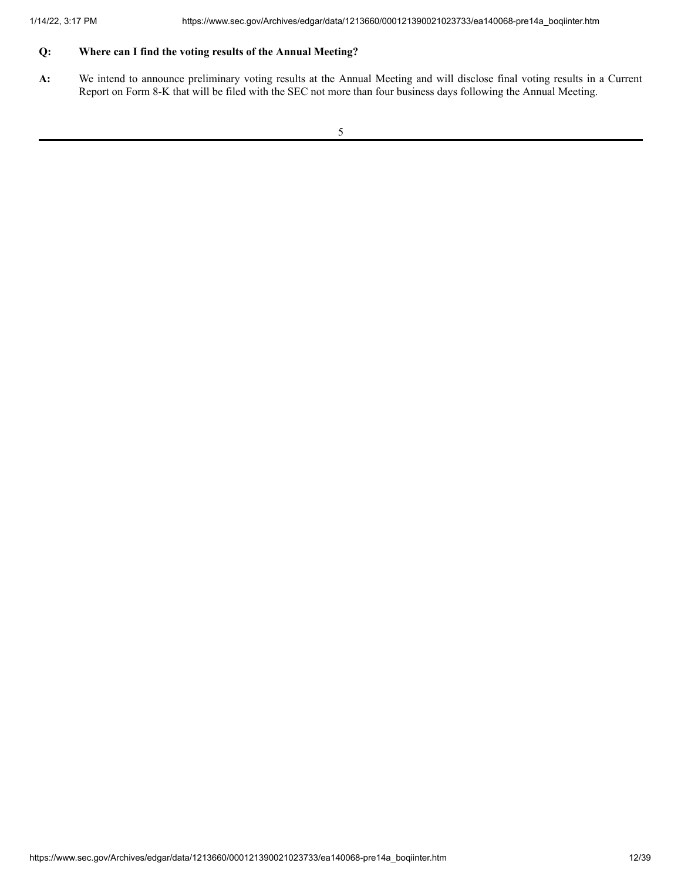# **Q: Where can I find the voting results of the Annual Meeting?**

**A:** We intend to announce preliminary voting results at the Annual Meeting and will disclose final voting results in a Current Report on Form 8-K that will be filed with the SEC not more than four business days following the Annual Meeting.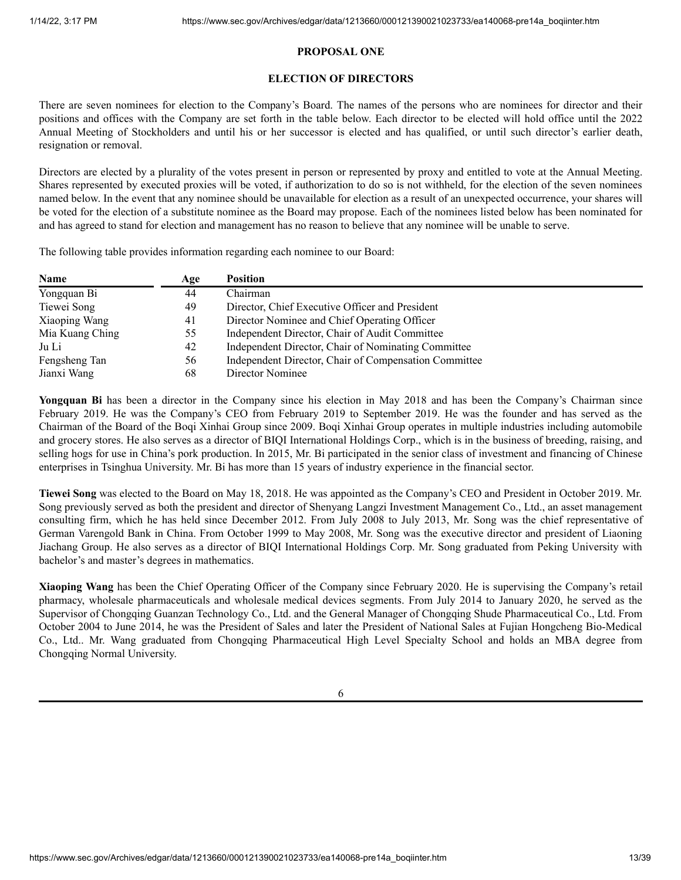# **PROPOSAL ONE**

# **ELECTION OF DIRECTORS**

<span id="page-12-0"></span>There are seven nominees for election to the Company's Board. The names of the persons who are nominees for director and their positions and offices with the Company are set forth in the table below. Each director to be elected will hold office until the 2022 Annual Meeting of Stockholders and until his or her successor is elected and has qualified, or until such director's earlier death, resignation or removal.

Directors are elected by a plurality of the votes present in person or represented by proxy and entitled to vote at the Annual Meeting. Shares represented by executed proxies will be voted, if authorization to do so is not withheld, for the election of the seven nominees named below. In the event that any nominee should be unavailable for election as a result of an unexpected occurrence, your shares will be voted for the election of a substitute nominee as the Board may propose. Each of the nominees listed below has been nominated for and has agreed to stand for election and management has no reason to believe that any nominee will be unable to serve.

The following table provides information regarding each nominee to our Board:

| <b>Name</b>     | Age | <b>Position</b>                                       |
|-----------------|-----|-------------------------------------------------------|
| Yongquan Bi     | 44  | Chairman                                              |
| Tiewei Song     | 49  | Director, Chief Executive Officer and President       |
| Xiaoping Wang   | 41  | Director Nominee and Chief Operating Officer          |
| Mia Kuang Ching | 55  | Independent Director, Chair of Audit Committee        |
| Ju Li           | 42  | Independent Director, Chair of Nominating Committee   |
| Fengsheng Tan   | 56  | Independent Director, Chair of Compensation Committee |
| Jianxi Wang     | 68  | Director Nominee                                      |

**Yongquan Bi** has been a director in the Company since his election in May 2018 and has been the Company's Chairman since February 2019. He was the Company's CEO from February 2019 to September 2019. He was the founder and has served as the Chairman of the Board of the Boqi Xinhai Group since 2009. Boqi Xinhai Group operates in multiple industries including automobile and grocery stores. He also serves as a director of BIQI International Holdings Corp., which is in the business of breeding, raising, and selling hogs for use in China's pork production. In 2015, Mr. Bi participated in the senior class of investment and financing of Chinese enterprises in Tsinghua University. Mr. Bi has more than 15 years of industry experience in the financial sector.

**Tiewei Song** was elected to the Board on May 18, 2018. He was appointed as the Company's CEO and President in October 2019. Mr. Song previously served as both the president and director of Shenyang Langzi Investment Management Co., Ltd., an asset management consulting firm, which he has held since December 2012. From July 2008 to July 2013, Mr. Song was the chief representative of German Varengold Bank in China. From October 1999 to May 2008, Mr. Song was the executive director and president of Liaoning Jiachang Group. He also serves as a director of BIQI International Holdings Corp. Mr. Song graduated from Peking University with bachelor's and master's degrees in mathematics.

**Xiaoping Wang** has been the Chief Operating Officer of the Company since February 2020. He is supervising the Company's retail pharmacy, wholesale pharmaceuticals and wholesale medical devices segments. From July 2014 to January 2020, he served as the Supervisor of Chongqing Guanzan Technology Co., Ltd. and the General Manager of Chongqing Shude Pharmaceutical Co., Ltd. From October 2004 to June 2014, he was the President of Sales and later the President of National Sales at Fujian Hongcheng Bio-Medical Co., Ltd.. Mr. Wang graduated from Chongqing Pharmaceutical High Level Specialty School and holds an MBA degree from Chongqing Normal University.

6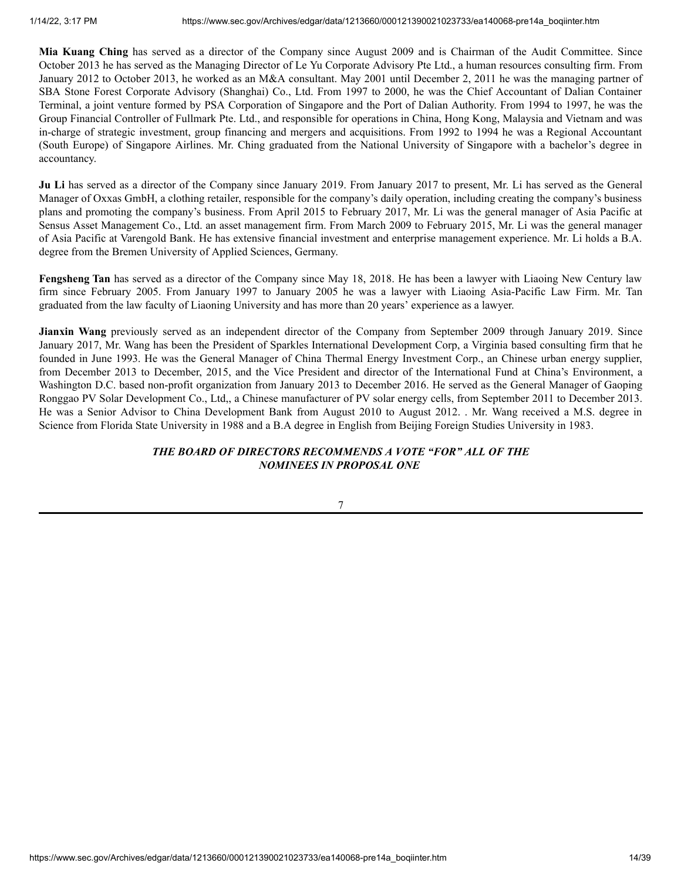**Mia Kuang Ching** has served as a director of the Company since August 2009 and is Chairman of the Audit Committee. Since October 2013 he has served as the Managing Director of Le Yu Corporate Advisory Pte Ltd., a human resources consulting firm. From January 2012 to October 2013, he worked as an M&A consultant. May 2001 until December 2, 2011 he was the managing partner of SBA Stone Forest Corporate Advisory (Shanghai) Co., Ltd. From 1997 to 2000, he was the Chief Accountant of Dalian Container Terminal, a joint venture formed by PSA Corporation of Singapore and the Port of Dalian Authority. From 1994 to 1997, he was the Group Financial Controller of Fullmark Pte. Ltd., and responsible for operations in China, Hong Kong, Malaysia and Vietnam and was in-charge of strategic investment, group financing and mergers and acquisitions. From 1992 to 1994 he was a Regional Accountant (South Europe) of Singapore Airlines. Mr. Ching graduated from the National University of Singapore with a bachelor's degree in accountancy.

**Ju Li** has served as a director of the Company since January 2019. From January 2017 to present, Mr. Li has served as the General Manager of Oxxas GmbH, a clothing retailer, responsible for the company's daily operation, including creating the company's business plans and promoting the company's business. From April 2015 to February 2017, Mr. Li was the general manager of Asia Pacific at Sensus Asset Management Co., Ltd. an asset management firm. From March 2009 to February 2015, Mr. Li was the general manager of Asia Pacific at Varengold Bank. He has extensive financial investment and enterprise management experience. Mr. Li holds a B.A. degree from the Bremen University of Applied Sciences, Germany.

**Fengsheng Tan** has served as a director of the Company since May 18, 2018. He has been a lawyer with Liaoing New Century law firm since February 2005. From January 1997 to January 2005 he was a lawyer with Liaoing Asia-Pacific Law Firm. Mr. Tan graduated from the law faculty of Liaoning University and has more than 20 years' experience as a lawyer.

**Jianxin Wang** previously served as an independent director of the Company from September 2009 through January 2019. Since January 2017, Mr. Wang has been the President of Sparkles International Development Corp, a Virginia based consulting firm that he founded in June 1993. He was the General Manager of China Thermal Energy Investment Corp., an Chinese urban energy supplier, from December 2013 to December, 2015, and the Vice President and director of the International Fund at China's Environment, a Washington D.C. based non-profit organization from January 2013 to December 2016. He served as the General Manager of Gaoping Ronggao PV Solar Development Co., Ltd,, a Chinese manufacturer of PV solar energy cells, from September 2011 to December 2013. He was a Senior Advisor to China Development Bank from August 2010 to August 2012. . Mr. Wang received a M.S. degree in Science from Florida State University in 1988 and a B.A degree in English from Beijing Foreign Studies University in 1983.

# *THE BOARD OF DIRECTORS RECOMMENDS A VOTE "FOR" ALL OF THE NOMINEES IN PROPOSAL ONE*

7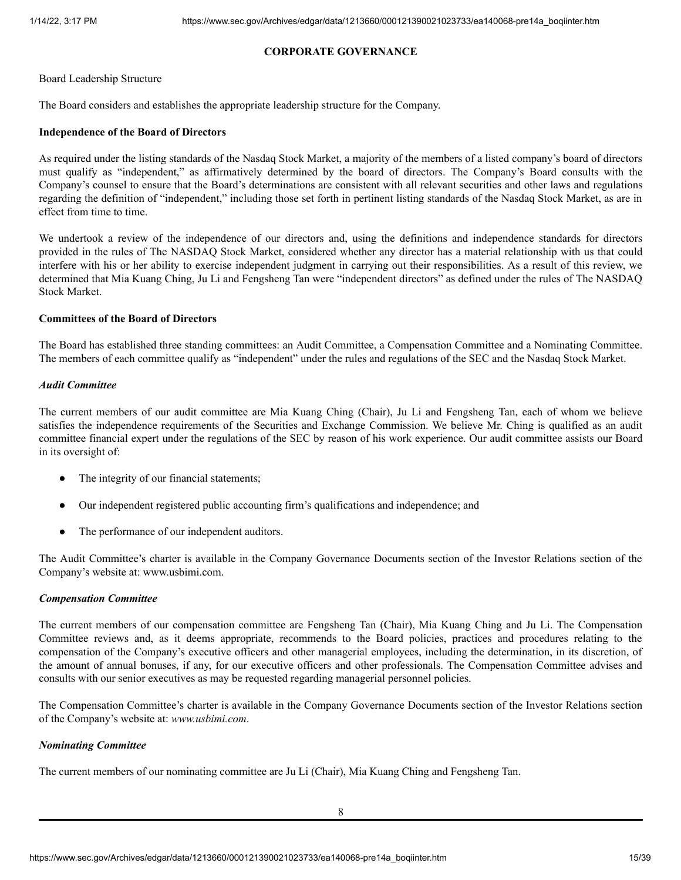# **CORPORATE GOVERNANCE**

#### <span id="page-14-0"></span>Board Leadership Structure

The Board considers and establishes the appropriate leadership structure for the Company.

## **Independence of the Board of Directors**

As required under the listing standards of the Nasdaq Stock Market, a majority of the members of a listed company's board of directors must qualify as "independent," as affirmatively determined by the board of directors. The Company's Board consults with the Company's counsel to ensure that the Board's determinations are consistent with all relevant securities and other laws and regulations regarding the definition of "independent," including those set forth in pertinent listing standards of the Nasdaq Stock Market, as are in effect from time to time.

We undertook a review of the independence of our directors and, using the definitions and independence standards for directors provided in the rules of The NASDAQ Stock Market, considered whether any director has a material relationship with us that could interfere with his or her ability to exercise independent judgment in carrying out their responsibilities. As a result of this review, we determined that Mia Kuang Ching, Ju Li and Fengsheng Tan were "independent directors" as defined under the rules of The NASDAQ Stock Market.

# **Committees of the Board of Directors**

The Board has established three standing committees: an Audit Committee, a Compensation Committee and a Nominating Committee. The members of each committee qualify as "independent" under the rules and regulations of the SEC and the Nasdaq Stock Market.

## *Audit Committee*

The current members of our audit committee are Mia Kuang Ching (Chair), Ju Li and Fengsheng Tan, each of whom we believe satisfies the independence requirements of the Securities and Exchange Commission. We believe Mr. Ching is qualified as an audit committee financial expert under the regulations of the SEC by reason of his work experience. Our audit committee assists our Board in its oversight of:

- The integrity of our financial statements;
- Our independent registered public accounting firm's qualifications and independence; and
- The performance of our independent auditors.

The Audit Committee's charter is available in the Company Governance Documents section of the Investor Relations section of the Company's website at: www.usbimi.com.

## *Compensation Committee*

The current members of our compensation committee are Fengsheng Tan (Chair), Mia Kuang Ching and Ju Li. The Compensation Committee reviews and, as it deems appropriate, recommends to the Board policies, practices and procedures relating to the compensation of the Company's executive officers and other managerial employees, including the determination, in its discretion, of the amount of annual bonuses, if any, for our executive officers and other professionals. The Compensation Committee advises and consults with our senior executives as may be requested regarding managerial personnel policies.

The Compensation Committee's charter is available in the Company Governance Documents section of the Investor Relations section of the Company's website at: *www.usbimi.com*.

## *Nominating Committee*

The current members of our nominating committee are Ju Li (Chair), Mia Kuang Ching and Fengsheng Tan.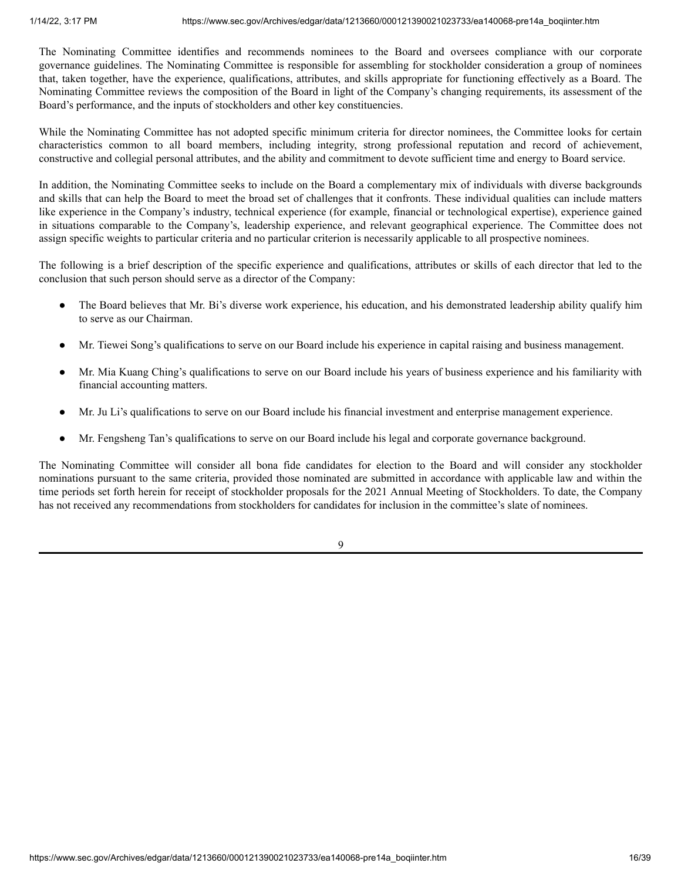The Nominating Committee identifies and recommends nominees to the Board and oversees compliance with our corporate governance guidelines. The Nominating Committee is responsible for assembling for stockholder consideration a group of nominees that, taken together, have the experience, qualifications, attributes, and skills appropriate for functioning effectively as a Board. The Nominating Committee reviews the composition of the Board in light of the Company's changing requirements, its assessment of the Board's performance, and the inputs of stockholders and other key constituencies.

While the Nominating Committee has not adopted specific minimum criteria for director nominees, the Committee looks for certain characteristics common to all board members, including integrity, strong professional reputation and record of achievement, constructive and collegial personal attributes, and the ability and commitment to devote sufficient time and energy to Board service.

In addition, the Nominating Committee seeks to include on the Board a complementary mix of individuals with diverse backgrounds and skills that can help the Board to meet the broad set of challenges that it confronts. These individual qualities can include matters like experience in the Company's industry, technical experience (for example, financial or technological expertise), experience gained in situations comparable to the Company's, leadership experience, and relevant geographical experience. The Committee does not assign specific weights to particular criteria and no particular criterion is necessarily applicable to all prospective nominees.

The following is a brief description of the specific experience and qualifications, attributes or skills of each director that led to the conclusion that such person should serve as a director of the Company:

- The Board believes that Mr. Bi's diverse work experience, his education, and his demonstrated leadership ability qualify him to serve as our Chairman.
- Mr. Tiewei Song's qualifications to serve on our Board include his experience in capital raising and business management.
- Mr. Mia Kuang Ching's qualifications to serve on our Board include his years of business experience and his familiarity with financial accounting matters.
- Mr. Ju Li's qualifications to serve on our Board include his financial investment and enterprise management experience.
- Mr. Fengsheng Tan's qualifications to serve on our Board include his legal and corporate governance background.

The Nominating Committee will consider all bona fide candidates for election to the Board and will consider any stockholder nominations pursuant to the same criteria, provided those nominated are submitted in accordance with applicable law and within the time periods set forth herein for receipt of stockholder proposals for the 2021 Annual Meeting of Stockholders. To date, the Company has not received any recommendations from stockholders for candidates for inclusion in the committee's slate of nominees.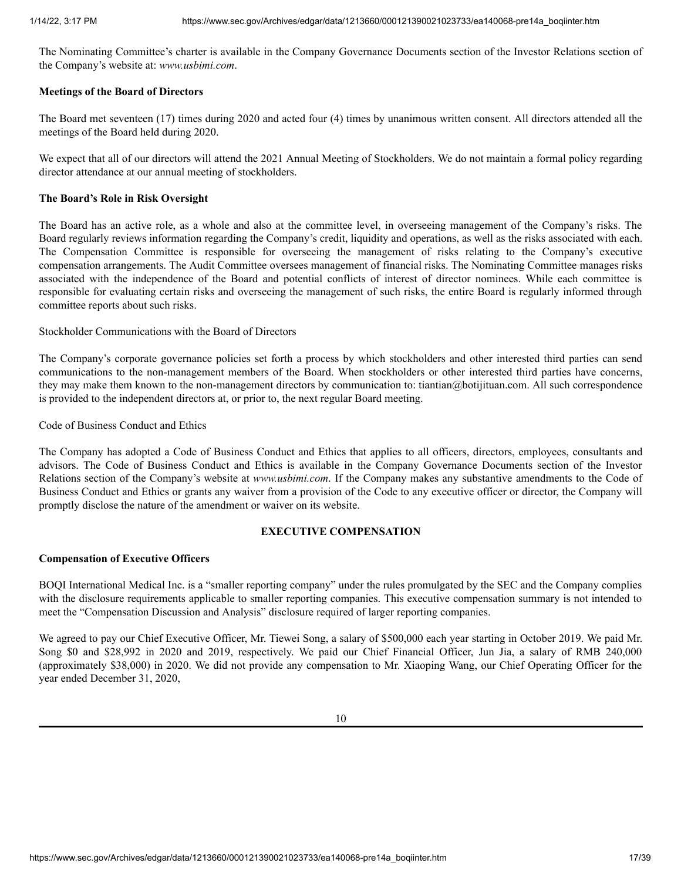The Nominating Committee's charter is available in the Company Governance Documents section of the Investor Relations section of the Company's website at: *www.usbimi.com*.

## **Meetings of the Board of Directors**

The Board met seventeen (17) times during 2020 and acted four (4) times by unanimous written consent. All directors attended all the meetings of the Board held during 2020.

We expect that all of our directors will attend the 2021 Annual Meeting of Stockholders. We do not maintain a formal policy regarding director attendance at our annual meeting of stockholders.

## **The Board's Role in Risk Oversight**

The Board has an active role, as a whole and also at the committee level, in overseeing management of the Company's risks. The Board regularly reviews information regarding the Company's credit, liquidity and operations, as well as the risks associated with each. The Compensation Committee is responsible for overseeing the management of risks relating to the Company's executive compensation arrangements. The Audit Committee oversees management of financial risks. The Nominating Committee manages risks associated with the independence of the Board and potential conflicts of interest of director nominees. While each committee is responsible for evaluating certain risks and overseeing the management of such risks, the entire Board is regularly informed through committee reports about such risks.

Stockholder Communications with the Board of Directors

The Company's corporate governance policies set forth a process by which stockholders and other interested third parties can send communications to the non-management members of the Board. When stockholders or other interested third parties have concerns, they may make them known to the non-management directors by communication to: tiantian@botijituan.com. All such correspondence is provided to the independent directors at, or prior to, the next regular Board meeting.

Code of Business Conduct and Ethics

The Company has adopted a Code of Business Conduct and Ethics that applies to all officers, directors, employees, consultants and advisors. The Code of Business Conduct and Ethics is available in the Company Governance Documents section of the Investor Relations section of the Company's website at *www.usbimi.com*. If the Company makes any substantive amendments to the Code of Business Conduct and Ethics or grants any waiver from a provision of the Code to any executive officer or director, the Company will promptly disclose the nature of the amendment or waiver on its website.

# **EXECUTIVE COMPENSATION**

# <span id="page-16-0"></span>**Compensation of Executive Officers**

BOQI International Medical Inc. is a "smaller reporting company" under the rules promulgated by the SEC and the Company complies with the disclosure requirements applicable to smaller reporting companies. This executive compensation summary is not intended to meet the "Compensation Discussion and Analysis" disclosure required of larger reporting companies.

We agreed to pay our Chief Executive Officer, Mr. Tiewei Song, a salary of \$500,000 each year starting in October 2019. We paid Mr. Song \$0 and \$28,992 in 2020 and 2019, respectively. We paid our Chief Financial Officer, Jun Jia, a salary of RMB 240,000 (approximately \$38,000) in 2020. We did not provide any compensation to Mr. Xiaoping Wang, our Chief Operating Officer for the year ended December 31, 2020,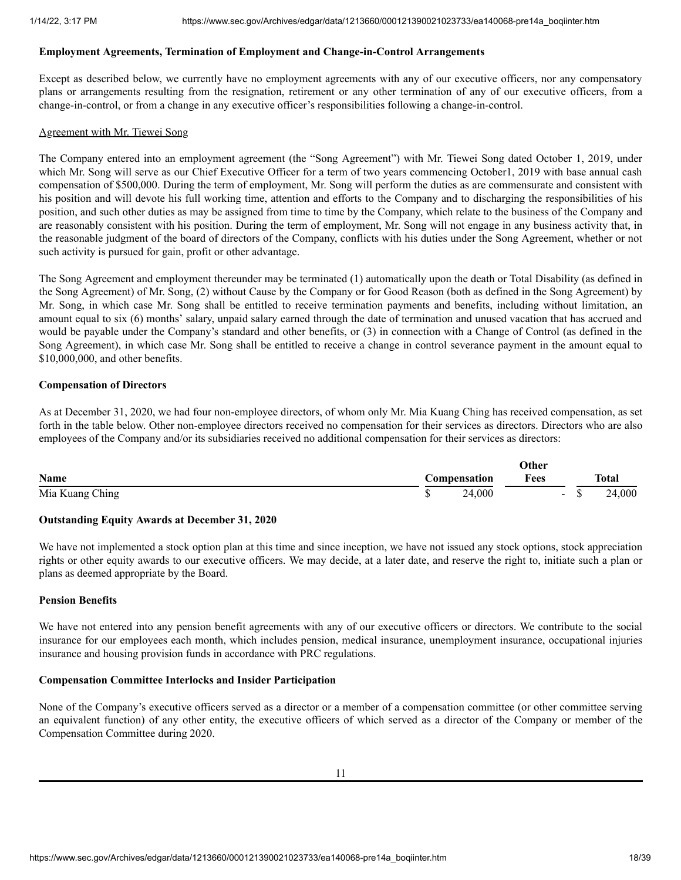## **Employment Agreements, Termination of Employment and Change-in-Control Arrangements**

Except as described below, we currently have no employment agreements with any of our executive officers, nor any compensatory plans or arrangements resulting from the resignation, retirement or any other termination of any of our executive officers, from a change-in-control, or from a change in any executive officer's responsibilities following a change-in-control.

## Agreement with Mr. Tiewei Song

The Company entered into an employment agreement (the "Song Agreement") with Mr. Tiewei Song dated October 1, 2019, under which Mr. Song will serve as our Chief Executive Officer for a term of two years commencing October1, 2019 with base annual cash compensation of \$500,000. During the term of employment, Mr. Song will perform the duties as are commensurate and consistent with his position and will devote his full working time, attention and efforts to the Company and to discharging the responsibilities of his position, and such other duties as may be assigned from time to time by the Company, which relate to the business of the Company and are reasonably consistent with his position. During the term of employment, Mr. Song will not engage in any business activity that, in the reasonable judgment of the board of directors of the Company, conflicts with his duties under the Song Agreement, whether or not such activity is pursued for gain, profit or other advantage.

The Song Agreement and employment thereunder may be terminated (1) automatically upon the death or Total Disability (as defined in the Song Agreement) of Mr. Song, (2) without Cause by the Company or for Good Reason (both as defined in the Song Agreement) by Mr. Song, in which case Mr. Song shall be entitled to receive termination payments and benefits, including without limitation, an amount equal to six (6) months' salary, unpaid salary earned through the date of termination and unused vacation that has accrued and would be payable under the Company's standard and other benefits, or (3) in connection with a Change of Control (as defined in the Song Agreement), in which case Mr. Song shall be entitled to receive a change in control severance payment in the amount equal to \$10,000,000, and other benefits.

# **Compensation of Directors**

As at December 31, 2020, we had four non-employee directors, of whom only Mr. Mia Kuang Ching has received compensation, as set forth in the table below. Other non-employee directors received no compensation for their services as directors. Directors who are also employees of the Company and/or its subsidiaries received no additional compensation for their services as directors:

|                 | Other        |        |        |              |
|-----------------|--------------|--------|--------|--------------|
| <b>Name</b>     | Compensation | Fees   |        | <b>Total</b> |
| Mia Kuang Ching |              | 24,000 | $\sim$ | 24,000       |

# **Outstanding Equity Awards at December 31, 2020**

We have not implemented a stock option plan at this time and since inception, we have not issued any stock options, stock appreciation rights or other equity awards to our executive officers. We may decide, at a later date, and reserve the right to, initiate such a plan or plans as deemed appropriate by the Board.

## **Pension Benefits**

We have not entered into any pension benefit agreements with any of our executive officers or directors. We contribute to the social insurance for our employees each month, which includes pension, medical insurance, unemployment insurance, occupational injuries insurance and housing provision funds in accordance with PRC regulations.

# **Compensation Committee Interlocks and Insider Participation**

None of the Company's executive officers served as a director or a member of a compensation committee (or other committee serving an equivalent function) of any other entity, the executive officers of which served as a director of the Company or member of the Compensation Committee during 2020.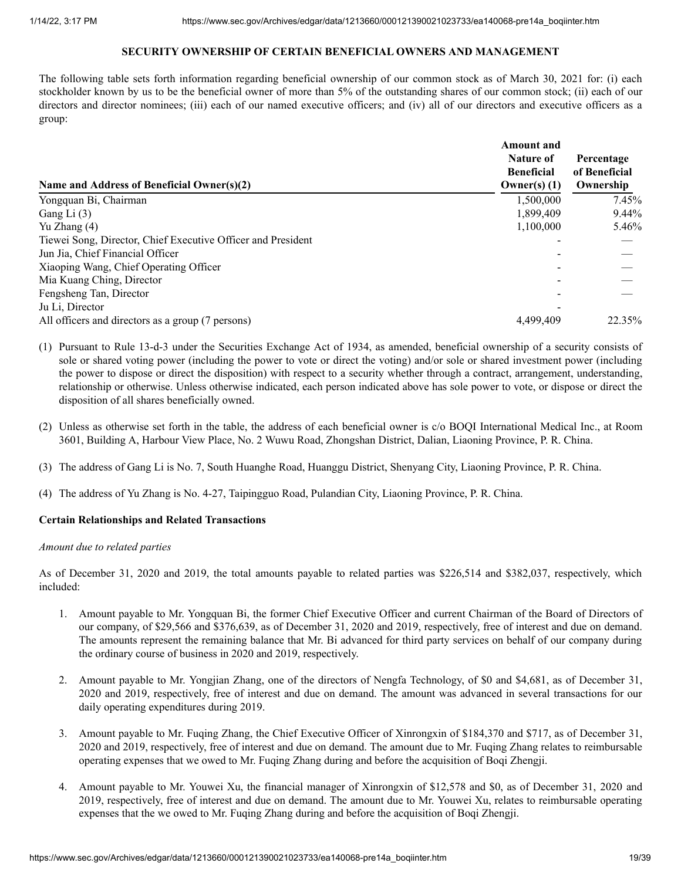# **SECURITY OWNERSHIP OF CERTAIN BENEFICIAL OWNERS AND MANAGEMENT**

<span id="page-18-0"></span>The following table sets forth information regarding beneficial ownership of our common stock as of March 30, 2021 for: (i) each stockholder known by us to be the beneficial owner of more than 5% of the outstanding shares of our common stock; (ii) each of our directors and director nominees; (iii) each of our named executive officers; and (iv) all of our directors and executive officers as a group:

| Name and Address of Beneficial Owner(s)(2)                   | <b>Amount</b> and<br>Nature of<br><b>Beneficial</b><br>Owner(s) $(1)$ | Percentage<br>of Beneficial<br>Ownership |
|--------------------------------------------------------------|-----------------------------------------------------------------------|------------------------------------------|
| Yongquan Bi, Chairman                                        | 1,500,000                                                             | 7.45%                                    |
| Gang Li $(3)$                                                | 1,899,409                                                             | 9.44%                                    |
| Yu Zhang (4)                                                 | 1,100,000                                                             | 5.46%                                    |
| Tiewei Song, Director, Chief Executive Officer and President |                                                                       |                                          |
| Jun Jia, Chief Financial Officer                             |                                                                       |                                          |
| Xiaoping Wang, Chief Operating Officer                       |                                                                       |                                          |
| Mia Kuang Ching, Director                                    |                                                                       |                                          |
| Fengsheng Tan, Director                                      |                                                                       |                                          |
| Ju Li, Director                                              |                                                                       |                                          |
| All officers and directors as a group (7 persons)            | 4.499.409                                                             | 22.35%                                   |

- (1) Pursuant to Rule 13-d-3 under the Securities Exchange Act of 1934, as amended, beneficial ownership of a security consists of sole or shared voting power (including the power to vote or direct the voting) and/or sole or shared investment power (including the power to dispose or direct the disposition) with respect to a security whether through a contract, arrangement, understanding, relationship or otherwise. Unless otherwise indicated, each person indicated above has sole power to vote, or dispose or direct the disposition of all shares beneficially owned.
- (2) Unless as otherwise set forth in the table, the address of each beneficial owner is c/o BOQI International Medical Inc., at Room 3601, Building A, Harbour View Place, No. 2 Wuwu Road, Zhongshan District, Dalian, Liaoning Province, P. R. China.
- (3) The address of Gang Li is No. 7, South Huanghe Road, Huanggu District, Shenyang City, Liaoning Province, P. R. China.
- (4) The address of Yu Zhang is No. 4-27, Taipingguo Road, Pulandian City, Liaoning Province, P. R. China.

## **Certain Relationships and Related Transactions**

## *Amount due to related parties*

As of December 31, 2020 and 2019, the total amounts payable to related parties was \$226,514 and \$382,037, respectively, which included:

- 1. Amount payable to Mr. Yongquan Bi, the former Chief Executive Officer and current Chairman of the Board of Directors of our company, of \$29,566 and \$376,639, as of December 31, 2020 and 2019, respectively, free of interest and due on demand. The amounts represent the remaining balance that Mr. Bi advanced for third party services on behalf of our company during the ordinary course of business in 2020 and 2019, respectively.
- 2. Amount payable to Mr. Yongjian Zhang, one of the directors of Nengfa Technology, of \$0 and \$4,681, as of December 31, 2020 and 2019, respectively, free of interest and due on demand. The amount was advanced in several transactions for our daily operating expenditures during 2019.
- 3. Amount payable to Mr. Fuqing Zhang, the Chief Executive Officer of Xinrongxin of \$184,370 and \$717, as of December 31, 2020 and 2019, respectively, free of interest and due on demand. The amount due to Mr. Fuqing Zhang relates to reimbursable operating expenses that we owed to Mr. Fuqing Zhang during and before the acquisition of Boqi Zhengji.
- 4. Amount payable to Mr. Youwei Xu, the financial manager of Xinrongxin of \$12,578 and \$0, as of December 31, 2020 and 2019, respectively, free of interest and due on demand. The amount due to Mr. Youwei Xu, relates to reimbursable operating expenses that the we owed to Mr. Fuqing Zhang during and before the acquisition of Boqi Zhengji.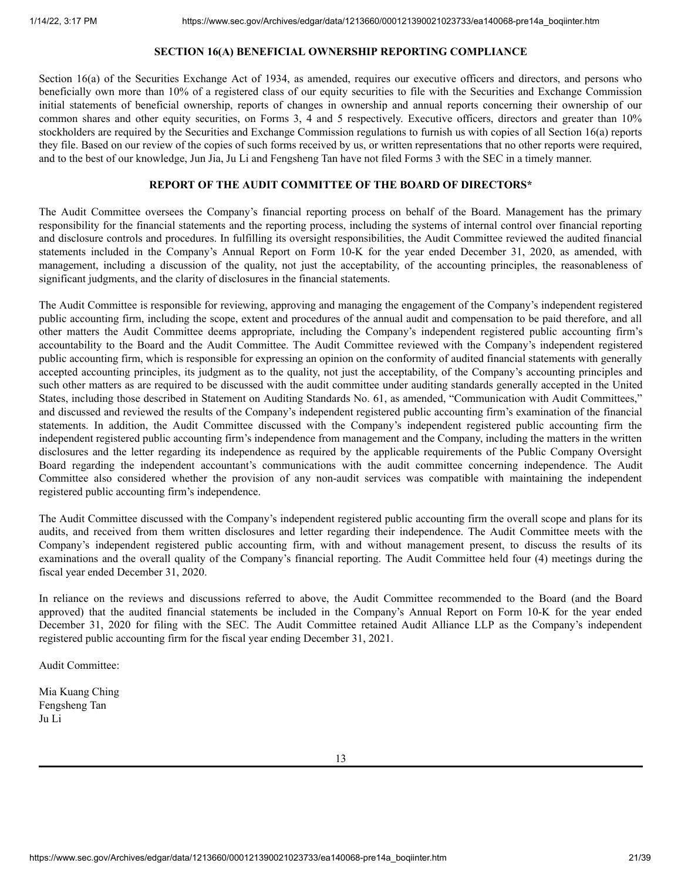# **SECTION 16(A) BENEFICIAL OWNERSHIP REPORTING COMPLIANCE**

<span id="page-20-0"></span>Section 16(a) of the Securities Exchange Act of 1934, as amended, requires our executive officers and directors, and persons who beneficially own more than 10% of a registered class of our equity securities to file with the Securities and Exchange Commission initial statements of beneficial ownership, reports of changes in ownership and annual reports concerning their ownership of our common shares and other equity securities, on Forms 3, 4 and 5 respectively. Executive officers, directors and greater than 10% stockholders are required by the Securities and Exchange Commission regulations to furnish us with copies of all Section 16(a) reports they file. Based on our review of the copies of such forms received by us, or written representations that no other reports were required, and to the best of our knowledge, Jun Jia, Ju Li and Fengsheng Tan have not filed Forms 3 with the SEC in a timely manner.

## **REPORT OF THE AUDIT COMMITTEE OF THE BOARD OF DIRECTORS\***

The Audit Committee oversees the Company's financial reporting process on behalf of the Board. Management has the primary responsibility for the financial statements and the reporting process, including the systems of internal control over financial reporting and disclosure controls and procedures. In fulfilling its oversight responsibilities, the Audit Committee reviewed the audited financial statements included in the Company's Annual Report on Form 10-K for the year ended December 31, 2020, as amended, with management, including a discussion of the quality, not just the acceptability, of the accounting principles, the reasonableness of significant judgments, and the clarity of disclosures in the financial statements.

The Audit Committee is responsible for reviewing, approving and managing the engagement of the Company's independent registered public accounting firm, including the scope, extent and procedures of the annual audit and compensation to be paid therefore, and all other matters the Audit Committee deems appropriate, including the Company's independent registered public accounting firm's accountability to the Board and the Audit Committee. The Audit Committee reviewed with the Company's independent registered public accounting firm, which is responsible for expressing an opinion on the conformity of audited financial statements with generally accepted accounting principles, its judgment as to the quality, not just the acceptability, of the Company's accounting principles and such other matters as are required to be discussed with the audit committee under auditing standards generally accepted in the United States, including those described in Statement on Auditing Standards No. 61, as amended, "Communication with Audit Committees," and discussed and reviewed the results of the Company's independent registered public accounting firm's examination of the financial statements. In addition, the Audit Committee discussed with the Company's independent registered public accounting firm the independent registered public accounting firm's independence from management and the Company, including the matters in the written disclosures and the letter regarding its independence as required by the applicable requirements of the Public Company Oversight Board regarding the independent accountant's communications with the audit committee concerning independence. The Audit Committee also considered whether the provision of any non-audit services was compatible with maintaining the independent registered public accounting firm's independence.

The Audit Committee discussed with the Company's independent registered public accounting firm the overall scope and plans for its audits, and received from them written disclosures and letter regarding their independence. The Audit Committee meets with the Company's independent registered public accounting firm, with and without management present, to discuss the results of its examinations and the overall quality of the Company's financial reporting. The Audit Committee held four (4) meetings during the fiscal year ended December 31, 2020.

In reliance on the reviews and discussions referred to above, the Audit Committee recommended to the Board (and the Board approved) that the audited financial statements be included in the Company's Annual Report on Form 10-K for the year ended December 31, 2020 for filing with the SEC. The Audit Committee retained Audit Alliance LLP as the Company's independent registered public accounting firm for the fiscal year ending December 31, 2021.

Audit Committee:

Mia Kuang Ching Fengsheng Tan Ju Li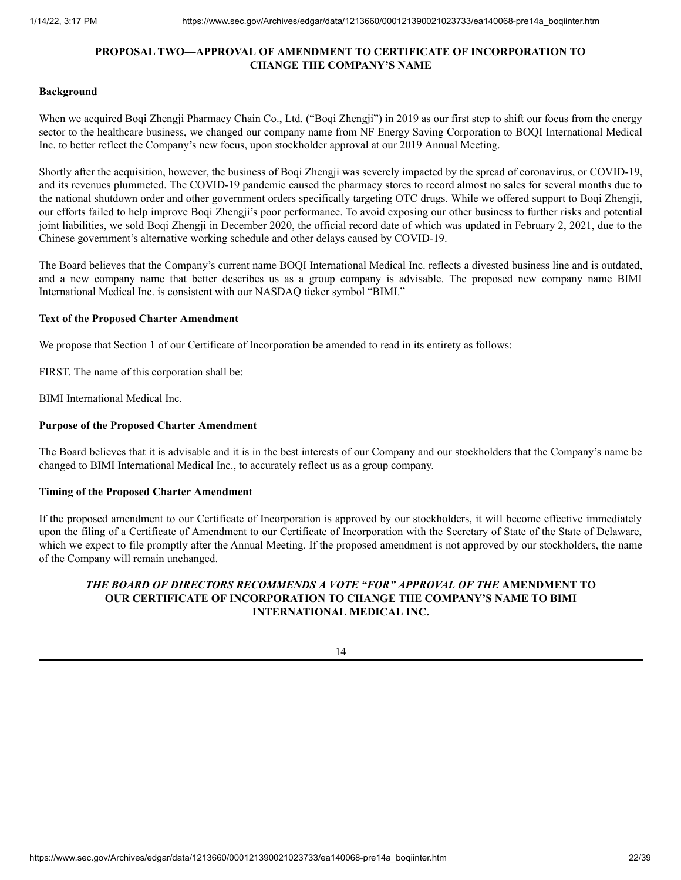# **PROPOSAL TWO—APPROVAL OF AMENDMENT TO CERTIFICATE OF INCORPORATION TO CHANGE THE COMPANY'S NAME**

## <span id="page-21-0"></span>**Background**

When we acquired Boqi Zhengji Pharmacy Chain Co., Ltd. ("Boqi Zhengji") in 2019 as our first step to shift our focus from the energy sector to the healthcare business, we changed our company name from NF Energy Saving Corporation to BOQI International Medical Inc. to better reflect the Company's new focus, upon stockholder approval at our 2019 Annual Meeting.

Shortly after the acquisition, however, the business of Boqi Zhengji was severely impacted by the spread of coronavirus, or COVID-19, and its revenues plummeted. The COVID-19 pandemic caused the pharmacy stores to record almost no sales for several months due to the national shutdown order and other government orders specifically targeting OTC drugs. While we offered support to Boqi Zhengji, our efforts failed to help improve Boqi Zhengji's poor performance. To avoid exposing our other business to further risks and potential joint liabilities, we sold Boqi Zhengji in December 2020, the official record date of which was updated in February 2, 2021, due to the Chinese government's alternative working schedule and other delays caused by COVID-19.

The Board believes that the Company's current name BOQI International Medical Inc. reflects a divested business line and is outdated, and a new company name that better describes us as a group company is advisable. The proposed new company name BIMI International Medical Inc. is consistent with our NASDAQ ticker symbol "BIMI."

## **Text of the Proposed Charter Amendment**

We propose that Section 1 of our Certificate of Incorporation be amended to read in its entirety as follows:

FIRST. The name of this corporation shall be:

BIMI International Medical Inc.

## **Purpose of the Proposed Charter Amendment**

The Board believes that it is advisable and it is in the best interests of our Company and our stockholders that the Company's name be changed to BIMI International Medical Inc., to accurately reflect us as a group company.

# **Timing of the Proposed Charter Amendment**

If the proposed amendment to our Certificate of Incorporation is approved by our stockholders, it will become effective immediately upon the filing of a Certificate of Amendment to our Certificate of Incorporation with the Secretary of State of the State of Delaware, which we expect to file promptly after the Annual Meeting. If the proposed amendment is not approved by our stockholders, the name of the Company will remain unchanged.

# *THE BOARD OF DIRECTORS RECOMMENDS A VOTE "FOR" APPROVAL OF THE* **AMENDMENT TO OUR CERTIFICATE OF INCORPORATION TO CHANGE THE COMPANY'S NAME TO BIMI INTERNATIONAL MEDICAL INC.**

## 14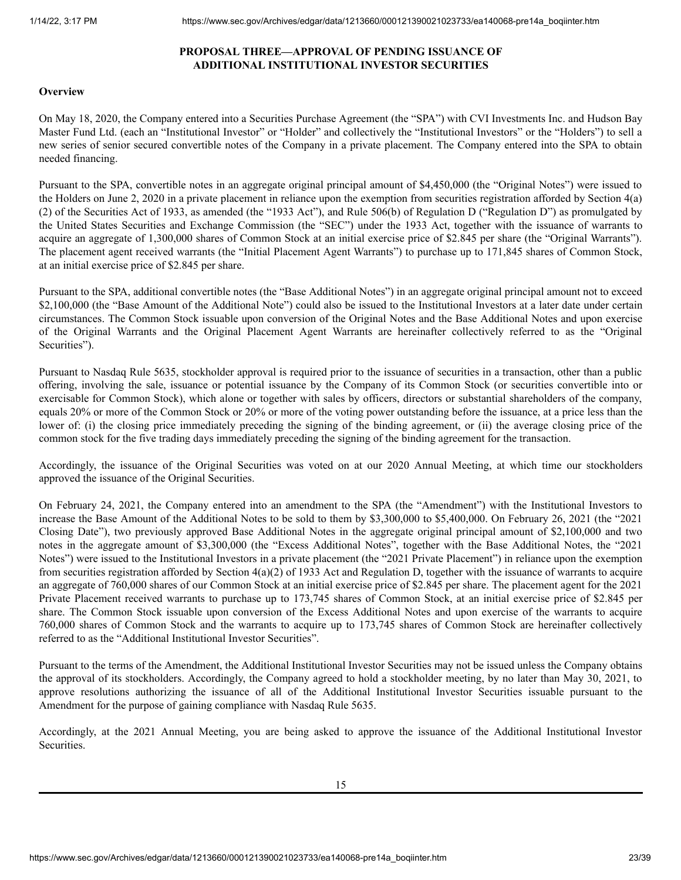# **PROPOSAL THREE—APPROVAL OF PENDING ISSUANCE OF ADDITIONAL INSTITUTIONAL INVESTOR SECURITIES**

## <span id="page-22-0"></span>**Overview**

On May 18, 2020, the Company entered into a Securities Purchase Agreement (the "SPA") with CVI Investments Inc. and Hudson Bay Master Fund Ltd. (each an "Institutional Investor" or "Holder" and collectively the "Institutional Investors" or the "Holders") to sell a new series of senior secured convertible notes of the Company in a private placement. The Company entered into the SPA to obtain needed financing.

Pursuant to the SPA, convertible notes in an aggregate original principal amount of \$4,450,000 (the "Original Notes") were issued to the Holders on June 2, 2020 in a private placement in reliance upon the exemption from securities registration afforded by Section 4(a) (2) of the Securities Act of 1933, as amended (the "1933 Act"), and Rule 506(b) of Regulation D ("Regulation D") as promulgated by the United States Securities and Exchange Commission (the "SEC") under the 1933 Act, together with the issuance of warrants to acquire an aggregate of 1,300,000 shares of Common Stock at an initial exercise price of \$2.845 per share (the "Original Warrants"). The placement agent received warrants (the "Initial Placement Agent Warrants") to purchase up to 171,845 shares of Common Stock, at an initial exercise price of \$2.845 per share.

Pursuant to the SPA, additional convertible notes (the "Base Additional Notes") in an aggregate original principal amount not to exceed \$2,100,000 (the "Base Amount of the Additional Note") could also be issued to the Institutional Investors at a later date under certain circumstances. The Common Stock issuable upon conversion of the Original Notes and the Base Additional Notes and upon exercise of the Original Warrants and the Original Placement Agent Warrants are hereinafter collectively referred to as the "Original Securities").

Pursuant to Nasdaq Rule 5635, stockholder approval is required prior to the issuance of securities in a transaction, other than a public offering, involving the sale, issuance or potential issuance by the Company of its Common Stock (or securities convertible into or exercisable for Common Stock), which alone or together with sales by officers, directors or substantial shareholders of the company, equals 20% or more of the Common Stock or 20% or more of the voting power outstanding before the issuance, at a price less than the lower of: (i) the closing price immediately preceding the signing of the binding agreement, or (ii) the average closing price of the common stock for the five trading days immediately preceding the signing of the binding agreement for the transaction.

Accordingly, the issuance of the Original Securities was voted on at our 2020 Annual Meeting, at which time our stockholders approved the issuance of the Original Securities.

On February 24, 2021, the Company entered into an amendment to the SPA (the "Amendment") with the Institutional Investors to increase the Base Amount of the Additional Notes to be sold to them by \$3,300,000 to \$5,400,000. On February 26, 2021 (the "2021 Closing Date"), two previously approved Base Additional Notes in the aggregate original principal amount of \$2,100,000 and two notes in the aggregate amount of \$3,300,000 (the "Excess Additional Notes", together with the Base Additional Notes, the "2021 Notes") were issued to the Institutional Investors in a private placement (the "2021 Private Placement") in reliance upon the exemption from securities registration afforded by Section 4(a)(2) of 1933 Act and Regulation D, together with the issuance of warrants to acquire an aggregate of 760,000 shares of our Common Stock at an initial exercise price of \$2.845 per share. The placement agent for the 2021 Private Placement received warrants to purchase up to 173,745 shares of Common Stock, at an initial exercise price of \$2.845 per share. The Common Stock issuable upon conversion of the Excess Additional Notes and upon exercise of the warrants to acquire 760,000 shares of Common Stock and the warrants to acquire up to 173,745 shares of Common Stock are hereinafter collectively referred to as the "Additional Institutional Investor Securities".

Pursuant to the terms of the Amendment, the Additional Institutional Investor Securities may not be issued unless the Company obtains the approval of its stockholders. Accordingly, the Company agreed to hold a stockholder meeting, by no later than May 30, 2021, to approve resolutions authorizing the issuance of all of the Additional Institutional Investor Securities issuable pursuant to the Amendment for the purpose of gaining compliance with Nasdaq Rule 5635.

Accordingly, at the 2021 Annual Meeting, you are being asked to approve the issuance of the Additional Institutional Investor Securities.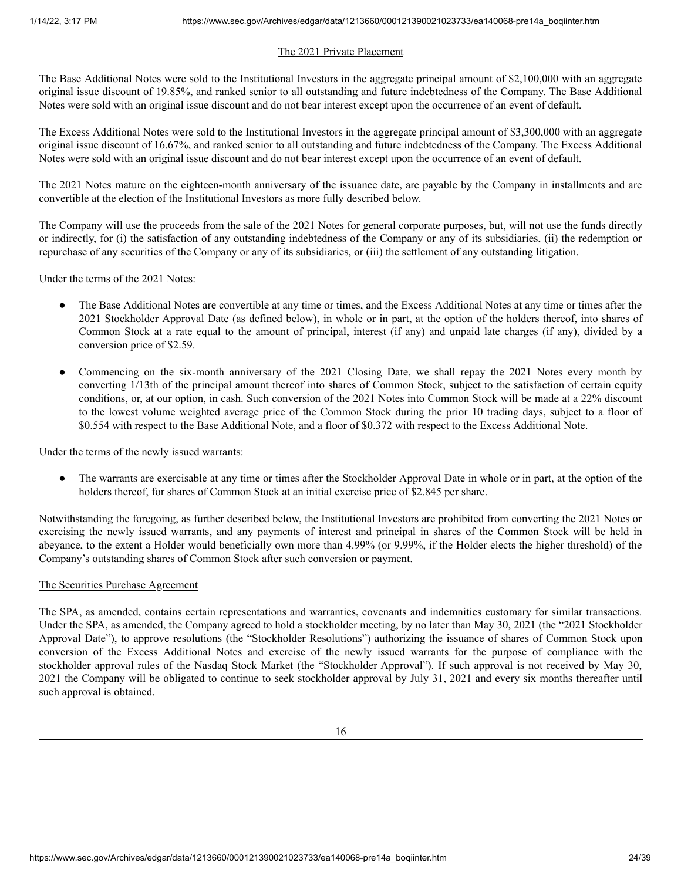# The 2021 Private Placement

The Base Additional Notes were sold to the Institutional Investors in the aggregate principal amount of \$2,100,000 with an aggregate original issue discount of 19.85%, and ranked senior to all outstanding and future indebtedness of the Company. The Base Additional Notes were sold with an original issue discount and do not bear interest except upon the occurrence of an event of default.

The Excess Additional Notes were sold to the Institutional Investors in the aggregate principal amount of \$3,300,000 with an aggregate original issue discount of 16.67%, and ranked senior to all outstanding and future indebtedness of the Company. The Excess Additional Notes were sold with an original issue discount and do not bear interest except upon the occurrence of an event of default.

The 2021 Notes mature on the eighteen-month anniversary of the issuance date, are payable by the Company in installments and are convertible at the election of the Institutional Investors as more fully described below.

The Company will use the proceeds from the sale of the 2021 Notes for general corporate purposes, but, will not use the funds directly or indirectly, for (i) the satisfaction of any outstanding indebtedness of the Company or any of its subsidiaries, (ii) the redemption or repurchase of any securities of the Company or any of its subsidiaries, or (iii) the settlement of any outstanding litigation.

Under the terms of the 2021 Notes:

- The Base Additional Notes are convertible at any time or times, and the Excess Additional Notes at any time or times after the 2021 Stockholder Approval Date (as defined below), in whole or in part, at the option of the holders thereof, into shares of Common Stock at a rate equal to the amount of principal, interest (if any) and unpaid late charges (if any), divided by a conversion price of \$2.59.
- Commencing on the six-month anniversary of the 2021 Closing Date, we shall repay the 2021 Notes every month by converting 1/13th of the principal amount thereof into shares of Common Stock, subject to the satisfaction of certain equity conditions, or, at our option, in cash. Such conversion of the 2021 Notes into Common Stock will be made at a 22% discount to the lowest volume weighted average price of the Common Stock during the prior 10 trading days, subject to a floor of \$0.554 with respect to the Base Additional Note, and a floor of \$0.372 with respect to the Excess Additional Note.

Under the terms of the newly issued warrants:

● The warrants are exercisable at any time or times after the Stockholder Approval Date in whole or in part, at the option of the holders thereof, for shares of Common Stock at an initial exercise price of \$2.845 per share.

Notwithstanding the foregoing, as further described below, the Institutional Investors are prohibited from converting the 2021 Notes or exercising the newly issued warrants, and any payments of interest and principal in shares of the Common Stock will be held in abeyance, to the extent a Holder would beneficially own more than 4.99% (or 9.99%, if the Holder elects the higher threshold) of the Company's outstanding shares of Common Stock after such conversion or payment.

# The Securities Purchase Agreement

The SPA, as amended, contains certain representations and warranties, covenants and indemnities customary for similar transactions. Under the SPA, as amended, the Company agreed to hold a stockholder meeting, by no later than May 30, 2021 (the "2021 Stockholder Approval Date"), to approve resolutions (the "Stockholder Resolutions") authorizing the issuance of shares of Common Stock upon conversion of the Excess Additional Notes and exercise of the newly issued warrants for the purpose of compliance with the stockholder approval rules of the Nasdaq Stock Market (the "Stockholder Approval"). If such approval is not received by May 30, 2021 the Company will be obligated to continue to seek stockholder approval by July 31, 2021 and every six months thereafter until such approval is obtained.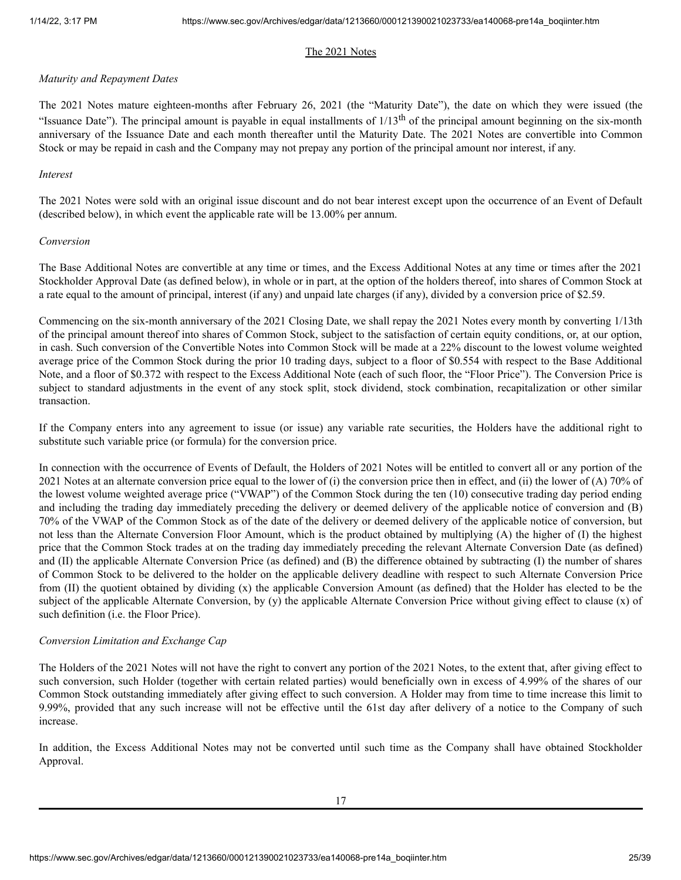# The 2021 Notes

## *Maturity and Repayment Dates*

The 2021 Notes mature eighteen-months after February 26, 2021 (the "Maturity Date"), the date on which they were issued (the "Issuance Date"). The principal amount is payable in equal installments of  $1/13<sup>th</sup>$  of the principal amount beginning on the six-month anniversary of the Issuance Date and each month thereafter until the Maturity Date. The 2021 Notes are convertible into Common Stock or may be repaid in cash and the Company may not prepay any portion of the principal amount nor interest, if any.

## *Interest*

The 2021 Notes were sold with an original issue discount and do not bear interest except upon the occurrence of an Event of Default (described below), in which event the applicable rate will be 13.00% per annum.

## *Conversion*

The Base Additional Notes are convertible at any time or times, and the Excess Additional Notes at any time or times after the 2021 Stockholder Approval Date (as defined below), in whole or in part, at the option of the holders thereof, into shares of Common Stock at a rate equal to the amount of principal, interest (if any) and unpaid late charges (if any), divided by a conversion price of \$2.59.

Commencing on the six-month anniversary of the 2021 Closing Date, we shall repay the 2021 Notes every month by converting 1/13th of the principal amount thereof into shares of Common Stock, subject to the satisfaction of certain equity conditions, or, at our option, in cash. Such conversion of the Convertible Notes into Common Stock will be made at a 22% discount to the lowest volume weighted average price of the Common Stock during the prior 10 trading days, subject to a floor of \$0.554 with respect to the Base Additional Note, and a floor of \$0.372 with respect to the Excess Additional Note (each of such floor, the "Floor Price"). The Conversion Price is subject to standard adjustments in the event of any stock split, stock dividend, stock combination, recapitalization or other similar transaction.

If the Company enters into any agreement to issue (or issue) any variable rate securities, the Holders have the additional right to substitute such variable price (or formula) for the conversion price.

In connection with the occurrence of Events of Default, the Holders of 2021 Notes will be entitled to convert all or any portion of the 2021 Notes at an alternate conversion price equal to the lower of (i) the conversion price then in effect, and (ii) the lower of (A) 70% of the lowest volume weighted average price ("VWAP") of the Common Stock during the ten (10) consecutive trading day period ending and including the trading day immediately preceding the delivery or deemed delivery of the applicable notice of conversion and (B) 70% of the VWAP of the Common Stock as of the date of the delivery or deemed delivery of the applicable notice of conversion, but not less than the Alternate Conversion Floor Amount, which is the product obtained by multiplying (A) the higher of (I) the highest price that the Common Stock trades at on the trading day immediately preceding the relevant Alternate Conversion Date (as defined) and (II) the applicable Alternate Conversion Price (as defined) and (B) the difference obtained by subtracting (I) the number of shares of Common Stock to be delivered to the holder on the applicable delivery deadline with respect to such Alternate Conversion Price from (II) the quotient obtained by dividing (x) the applicable Conversion Amount (as defined) that the Holder has elected to be the subject of the applicable Alternate Conversion, by (y) the applicable Alternate Conversion Price without giving effect to clause (x) of such definition (i.e. the Floor Price).

# *Conversion Limitation and Exchange Cap*

The Holders of the 2021 Notes will not have the right to convert any portion of the 2021 Notes, to the extent that, after giving effect to such conversion, such Holder (together with certain related parties) would beneficially own in excess of 4.99% of the shares of our Common Stock outstanding immediately after giving effect to such conversion. A Holder may from time to time increase this limit to 9.99%, provided that any such increase will not be effective until the 61st day after delivery of a notice to the Company of such increase.

In addition, the Excess Additional Notes may not be converted until such time as the Company shall have obtained Stockholder Approval.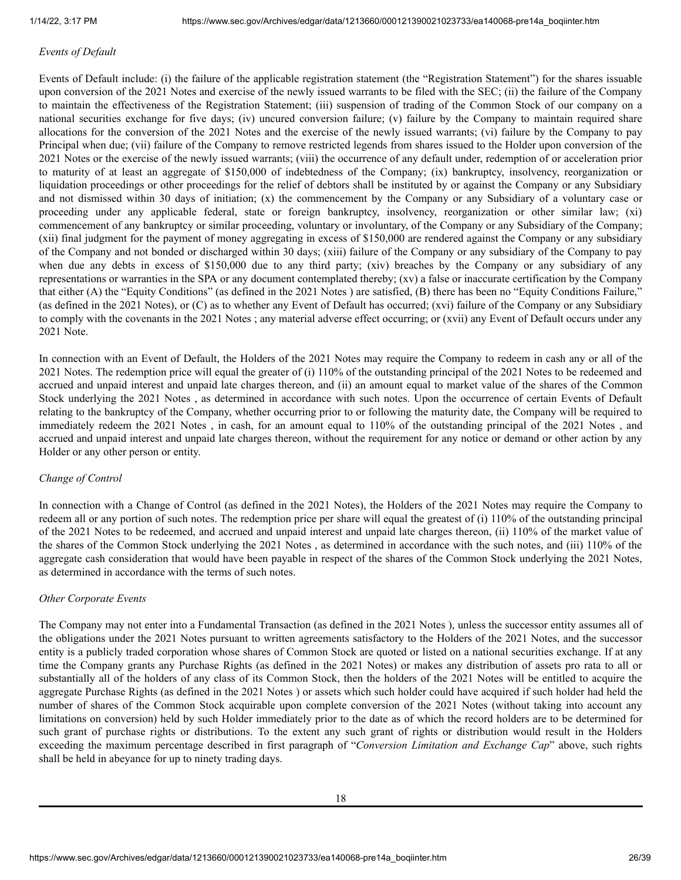## *Events of Default*

Events of Default include: (i) the failure of the applicable registration statement (the "Registration Statement") for the shares issuable upon conversion of the 2021 Notes and exercise of the newly issued warrants to be filed with the SEC; (ii) the failure of the Company to maintain the effectiveness of the Registration Statement; (iii) suspension of trading of the Common Stock of our company on a national securities exchange for five days; (iv) uncured conversion failure; (v) failure by the Company to maintain required share allocations for the conversion of the 2021 Notes and the exercise of the newly issued warrants; (vi) failure by the Company to pay Principal when due; (vii) failure of the Company to remove restricted legends from shares issued to the Holder upon conversion of the 2021 Notes or the exercise of the newly issued warrants; (viii) the occurrence of any default under, redemption of or acceleration prior to maturity of at least an aggregate of \$150,000 of indebtedness of the Company; (ix) bankruptcy, insolvency, reorganization or liquidation proceedings or other proceedings for the relief of debtors shall be instituted by or against the Company or any Subsidiary and not dismissed within 30 days of initiation; (x) the commencement by the Company or any Subsidiary of a voluntary case or proceeding under any applicable federal, state or foreign bankruptcy, insolvency, reorganization or other similar law; (xi) commencement of any bankruptcy or similar proceeding, voluntary or involuntary, of the Company or any Subsidiary of the Company; (xii) final judgment for the payment of money aggregating in excess of \$150,000 are rendered against the Company or any subsidiary of the Company and not bonded or discharged within 30 days; (xiii) failure of the Company or any subsidiary of the Company to pay when due any debts in excess of \$150,000 due to any third party; (xiv) breaches by the Company or any subsidiary of any representations or warranties in the SPA or any document contemplated thereby; (xv) a false or inaccurate certification by the Company that either (A) the "Equity Conditions" (as defined in the 2021 Notes ) are satisfied, (B) there has been no "Equity Conditions Failure," (as defined in the 2021 Notes), or (C) as to whether any Event of Default has occurred; (xvi) failure of the Company or any Subsidiary to comply with the covenants in the 2021 Notes ; any material adverse effect occurring; or (xvii) any Event of Default occurs under any 2021 Note.

In connection with an Event of Default, the Holders of the 2021 Notes may require the Company to redeem in cash any or all of the 2021 Notes. The redemption price will equal the greater of (i) 110% of the outstanding principal of the 2021 Notes to be redeemed and accrued and unpaid interest and unpaid late charges thereon, and (ii) an amount equal to market value of the shares of the Common Stock underlying the 2021 Notes , as determined in accordance with such notes. Upon the occurrence of certain Events of Default relating to the bankruptcy of the Company, whether occurring prior to or following the maturity date, the Company will be required to immediately redeem the 2021 Notes , in cash, for an amount equal to 110% of the outstanding principal of the 2021 Notes , and accrued and unpaid interest and unpaid late charges thereon, without the requirement for any notice or demand or other action by any Holder or any other person or entity.

## *Change of Control*

In connection with a Change of Control (as defined in the 2021 Notes), the Holders of the 2021 Notes may require the Company to redeem all or any portion of such notes. The redemption price per share will equal the greatest of (i) 110% of the outstanding principal of the 2021 Notes to be redeemed, and accrued and unpaid interest and unpaid late charges thereon, (ii) 110% of the market value of the shares of the Common Stock underlying the 2021 Notes , as determined in accordance with the such notes, and (iii) 110% of the aggregate cash consideration that would have been payable in respect of the shares of the Common Stock underlying the 2021 Notes, as determined in accordance with the terms of such notes.

## *Other Corporate Events*

The Company may not enter into a Fundamental Transaction (as defined in the 2021 Notes ), unless the successor entity assumes all of the obligations under the 2021 Notes pursuant to written agreements satisfactory to the Holders of the 2021 Notes, and the successor entity is a publicly traded corporation whose shares of Common Stock are quoted or listed on a national securities exchange. If at any time the Company grants any Purchase Rights (as defined in the 2021 Notes) or makes any distribution of assets pro rata to all or substantially all of the holders of any class of its Common Stock, then the holders of the 2021 Notes will be entitled to acquire the aggregate Purchase Rights (as defined in the 2021 Notes ) or assets which such holder could have acquired if such holder had held the number of shares of the Common Stock acquirable upon complete conversion of the 2021 Notes (without taking into account any limitations on conversion) held by such Holder immediately prior to the date as of which the record holders are to be determined for such grant of purchase rights or distributions. To the extent any such grant of rights or distribution would result in the Holders exceeding the maximum percentage described in first paragraph of "*Conversion Limitation and Exchange Cap*" above, such rights shall be held in abeyance for up to ninety trading days.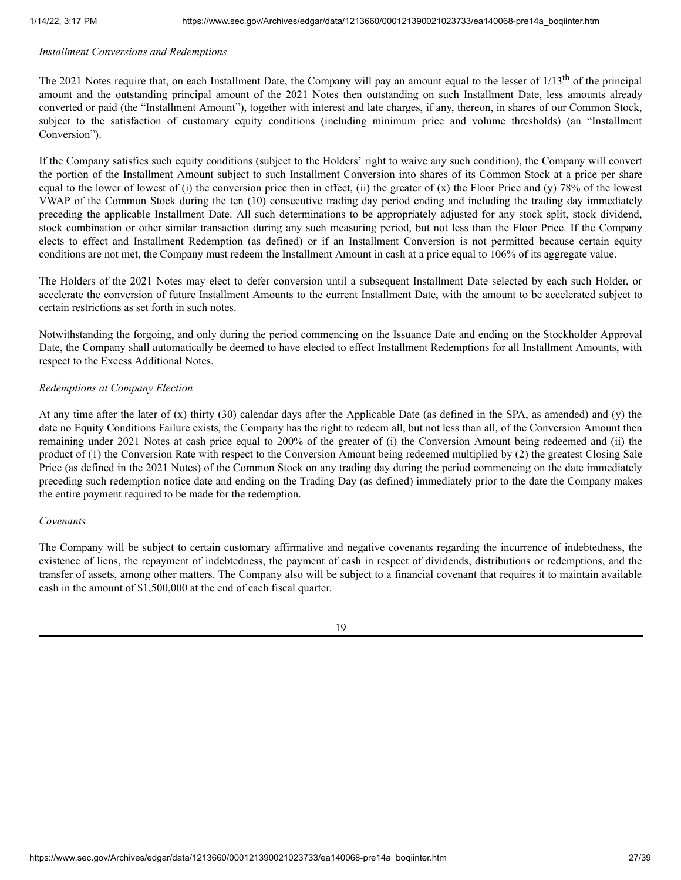## *Installment Conversions and Redemptions*

The 2021 Notes require that, on each Installment Date, the Company will pay an amount equal to the lesser of 1/13<sup>th</sup> of the principal amount and the outstanding principal amount of the 2021 Notes then outstanding on such Installment Date, less amounts already converted or paid (the "Installment Amount"), together with interest and late charges, if any, thereon, in shares of our Common Stock, subject to the satisfaction of customary equity conditions (including minimum price and volume thresholds) (an "Installment Conversion").

If the Company satisfies such equity conditions (subject to the Holders' right to waive any such condition), the Company will convert the portion of the Installment Amount subject to such Installment Conversion into shares of its Common Stock at a price per share equal to the lower of lowest of (i) the conversion price then in effect, (ii) the greater of (x) the Floor Price and (y) 78% of the lowest VWAP of the Common Stock during the ten (10) consecutive trading day period ending and including the trading day immediately preceding the applicable Installment Date. All such determinations to be appropriately adjusted for any stock split, stock dividend, stock combination or other similar transaction during any such measuring period, but not less than the Floor Price. If the Company elects to effect and Installment Redemption (as defined) or if an Installment Conversion is not permitted because certain equity conditions are not met, the Company must redeem the Installment Amount in cash at a price equal to 106% of its aggregate value.

The Holders of the 2021 Notes may elect to defer conversion until a subsequent Installment Date selected by each such Holder, or accelerate the conversion of future Installment Amounts to the current Installment Date, with the amount to be accelerated subject to certain restrictions as set forth in such notes.

Notwithstanding the forgoing, and only during the period commencing on the Issuance Date and ending on the Stockholder Approval Date, the Company shall automatically be deemed to have elected to effect Installment Redemptions for all Installment Amounts, with respect to the Excess Additional Notes.

## *Redemptions at Company Election*

At any time after the later of (x) thirty (30) calendar days after the Applicable Date (as defined in the SPA, as amended) and (y) the date no Equity Conditions Failure exists, the Company has the right to redeem all, but not less than all, of the Conversion Amount then remaining under 2021 Notes at cash price equal to 200% of the greater of (i) the Conversion Amount being redeemed and (ii) the product of (1) the Conversion Rate with respect to the Conversion Amount being redeemed multiplied by (2) the greatest Closing Sale Price (as defined in the 2021 Notes) of the Common Stock on any trading day during the period commencing on the date immediately preceding such redemption notice date and ending on the Trading Day (as defined) immediately prior to the date the Company makes the entire payment required to be made for the redemption.

## *Covenants*

The Company will be subject to certain customary affirmative and negative covenants regarding the incurrence of indebtedness, the existence of liens, the repayment of indebtedness, the payment of cash in respect of dividends, distributions or redemptions, and the transfer of assets, among other matters. The Company also will be subject to a financial covenant that requires it to maintain available cash in the amount of \$1,500,000 at the end of each fiscal quarter.

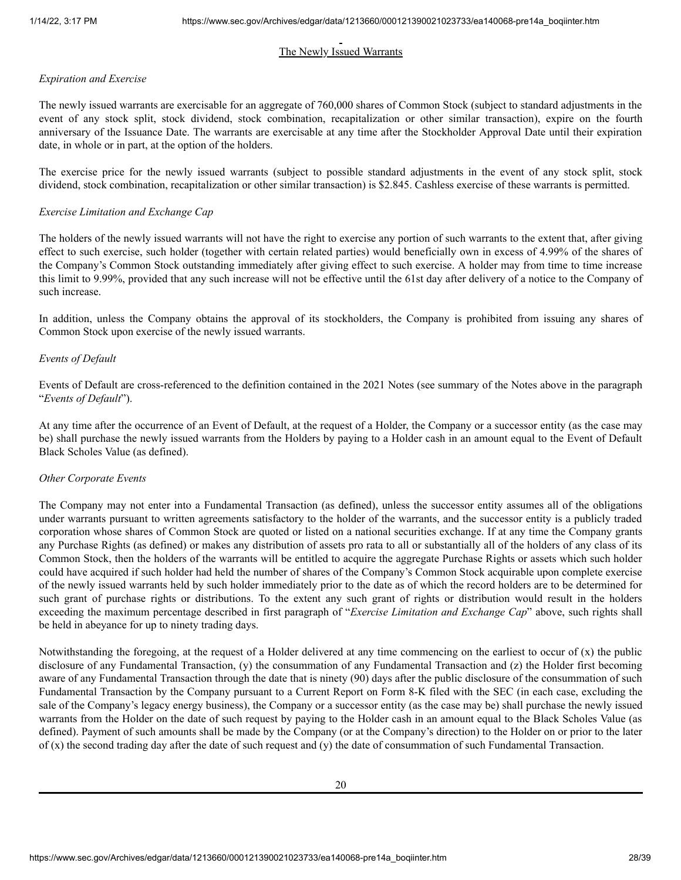# The Newly Issued Warrants

## *Expiration and Exercise*

The newly issued warrants are exercisable for an aggregate of 760,000 shares of Common Stock (subject to standard adjustments in the event of any stock split, stock dividend, stock combination, recapitalization or other similar transaction), expire on the fourth anniversary of the Issuance Date. The warrants are exercisable at any time after the Stockholder Approval Date until their expiration date, in whole or in part, at the option of the holders.

The exercise price for the newly issued warrants (subject to possible standard adjustments in the event of any stock split, stock dividend, stock combination, recapitalization or other similar transaction) is \$2.845. Cashless exercise of these warrants is permitted.

# *Exercise Limitation and Exchange Cap*

The holders of the newly issued warrants will not have the right to exercise any portion of such warrants to the extent that, after giving effect to such exercise, such holder (together with certain related parties) would beneficially own in excess of 4.99% of the shares of the Company's Common Stock outstanding immediately after giving effect to such exercise. A holder may from time to time increase this limit to 9.99%, provided that any such increase will not be effective until the 61st day after delivery of a notice to the Company of such increase.

In addition, unless the Company obtains the approval of its stockholders, the Company is prohibited from issuing any shares of Common Stock upon exercise of the newly issued warrants.

## *Events of Default*

Events of Default are cross-referenced to the definition contained in the 2021 Notes (see summary of the Notes above in the paragraph "*Events of Default*").

At any time after the occurrence of an Event of Default, at the request of a Holder, the Company or a successor entity (as the case may be) shall purchase the newly issued warrants from the Holders by paying to a Holder cash in an amount equal to the Event of Default Black Scholes Value (as defined).

## *Other Corporate Events*

The Company may not enter into a Fundamental Transaction (as defined), unless the successor entity assumes all of the obligations under warrants pursuant to written agreements satisfactory to the holder of the warrants, and the successor entity is a publicly traded corporation whose shares of Common Stock are quoted or listed on a national securities exchange. If at any time the Company grants any Purchase Rights (as defined) or makes any distribution of assets pro rata to all or substantially all of the holders of any class of its Common Stock, then the holders of the warrants will be entitled to acquire the aggregate Purchase Rights or assets which such holder could have acquired if such holder had held the number of shares of the Company's Common Stock acquirable upon complete exercise of the newly issued warrants held by such holder immediately prior to the date as of which the record holders are to be determined for such grant of purchase rights or distributions. To the extent any such grant of rights or distribution would result in the holders exceeding the maximum percentage described in first paragraph of "*Exercise Limitation and Exchange Cap*" above, such rights shall be held in abeyance for up to ninety trading days.

Notwithstanding the foregoing, at the request of a Holder delivered at any time commencing on the earliest to occur of (x) the public disclosure of any Fundamental Transaction, (y) the consummation of any Fundamental Transaction and (z) the Holder first becoming aware of any Fundamental Transaction through the date that is ninety (90) days after the public disclosure of the consummation of such Fundamental Transaction by the Company pursuant to a Current Report on Form 8-K filed with the SEC (in each case, excluding the sale of the Company's legacy energy business), the Company or a successor entity (as the case may be) shall purchase the newly issued warrants from the Holder on the date of such request by paying to the Holder cash in an amount equal to the Black Scholes Value (as defined). Payment of such amounts shall be made by the Company (or at the Company's direction) to the Holder on or prior to the later of (x) the second trading day after the date of such request and (y) the date of consummation of such Fundamental Transaction.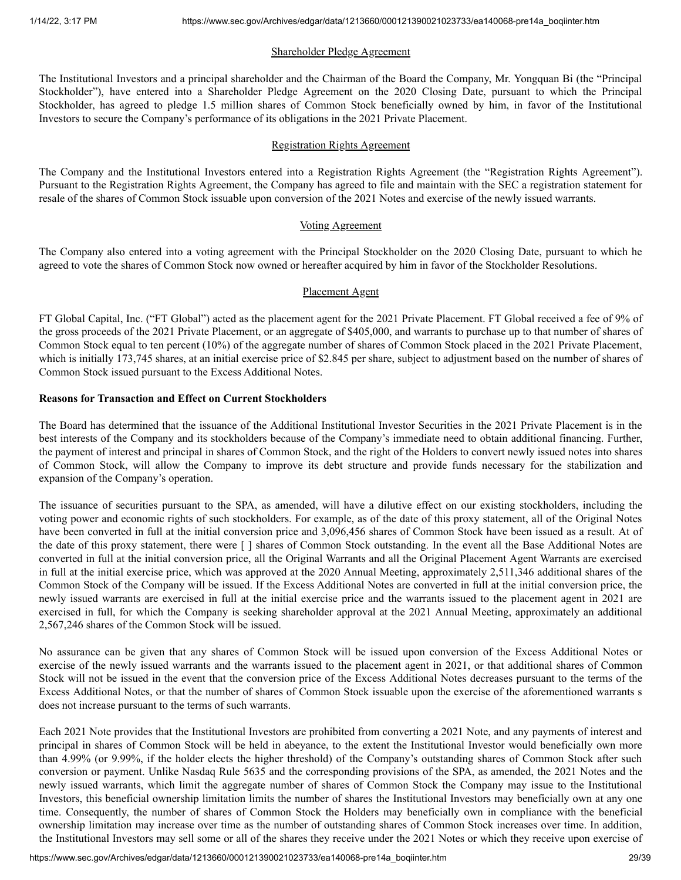# Shareholder Pledge Agreement

The Institutional Investors and a principal shareholder and the Chairman of the Board the Company, Mr. Yongquan Bi (the "Principal Stockholder"), have entered into a Shareholder Pledge Agreement on the 2020 Closing Date, pursuant to which the Principal Stockholder, has agreed to pledge 1.5 million shares of Common Stock beneficially owned by him, in favor of the Institutional Investors to secure the Company's performance of its obligations in the 2021 Private Placement.

## Registration Rights Agreement

The Company and the Institutional Investors entered into a Registration Rights Agreement (the "Registration Rights Agreement"). Pursuant to the Registration Rights Agreement, the Company has agreed to file and maintain with the SEC a registration statement for resale of the shares of Common Stock issuable upon conversion of the 2021 Notes and exercise of the newly issued warrants.

## Voting Agreement

The Company also entered into a voting agreement with the Principal Stockholder on the 2020 Closing Date, pursuant to which he agreed to vote the shares of Common Stock now owned or hereafter acquired by him in favor of the Stockholder Resolutions.

## Placement Agent

FT Global Capital, Inc. ("FT Global") acted as the placement agent for the 2021 Private Placement. FT Global received a fee of 9% of the gross proceeds of the 2021 Private Placement, or an aggregate of \$405,000, and warrants to purchase up to that number of shares of Common Stock equal to ten percent (10%) of the aggregate number of shares of Common Stock placed in the 2021 Private Placement, which is initially 173,745 shares, at an initial exercise price of \$2.845 per share, subject to adjustment based on the number of shares of Common Stock issued pursuant to the Excess Additional Notes.

## **Reasons for Transaction and Effect on Current Stockholders**

The Board has determined that the issuance of the Additional Institutional Investor Securities in the 2021 Private Placement is in the best interests of the Company and its stockholders because of the Company's immediate need to obtain additional financing. Further, the payment of interest and principal in shares of Common Stock, and the right of the Holders to convert newly issued notes into shares of Common Stock, will allow the Company to improve its debt structure and provide funds necessary for the stabilization and expansion of the Company's operation.

The issuance of securities pursuant to the SPA, as amended, will have a dilutive effect on our existing stockholders, including the voting power and economic rights of such stockholders. For example, as of the date of this proxy statement, all of the Original Notes have been converted in full at the initial conversion price and 3,096,456 shares of Common Stock have been issued as a result. At of the date of this proxy statement, there were [ ] shares of Common Stock outstanding. In the event all the Base Additional Notes are converted in full at the initial conversion price, all the Original Warrants and all the Original Placement Agent Warrants are exercised in full at the initial exercise price, which was approved at the 2020 Annual Meeting, approximately 2,511,346 additional shares of the Common Stock of the Company will be issued. If the Excess Additional Notes are converted in full at the initial conversion price, the newly issued warrants are exercised in full at the initial exercise price and the warrants issued to the placement agent in 2021 are exercised in full, for which the Company is seeking shareholder approval at the 2021 Annual Meeting, approximately an additional 2,567,246 shares of the Common Stock will be issued.

No assurance can be given that any shares of Common Stock will be issued upon conversion of the Excess Additional Notes or exercise of the newly issued warrants and the warrants issued to the placement agent in 2021, or that additional shares of Common Stock will not be issued in the event that the conversion price of the Excess Additional Notes decreases pursuant to the terms of the Excess Additional Notes, or that the number of shares of Common Stock issuable upon the exercise of the aforementioned warrants s does not increase pursuant to the terms of such warrants.

Each 2021 Note provides that the Institutional Investors are prohibited from converting a 2021 Note, and any payments of interest and principal in shares of Common Stock will be held in abeyance, to the extent the Institutional Investor would beneficially own more than 4.99% (or 9.99%, if the holder elects the higher threshold) of the Company's outstanding shares of Common Stock after such conversion or payment. Unlike Nasdaq Rule 5635 and the corresponding provisions of the SPA, as amended, the 2021 Notes and the newly issued warrants, which limit the aggregate number of shares of Common Stock the Company may issue to the Institutional Investors, this beneficial ownership limitation limits the number of shares the Institutional Investors may beneficially own at any one time. Consequently, the number of shares of Common Stock the Holders may beneficially own in compliance with the beneficial ownership limitation may increase over time as the number of outstanding shares of Common Stock increases over time. In addition, the Institutional Investors may sell some or all of the shares they receive under the 2021 Notes or which they receive upon exercise of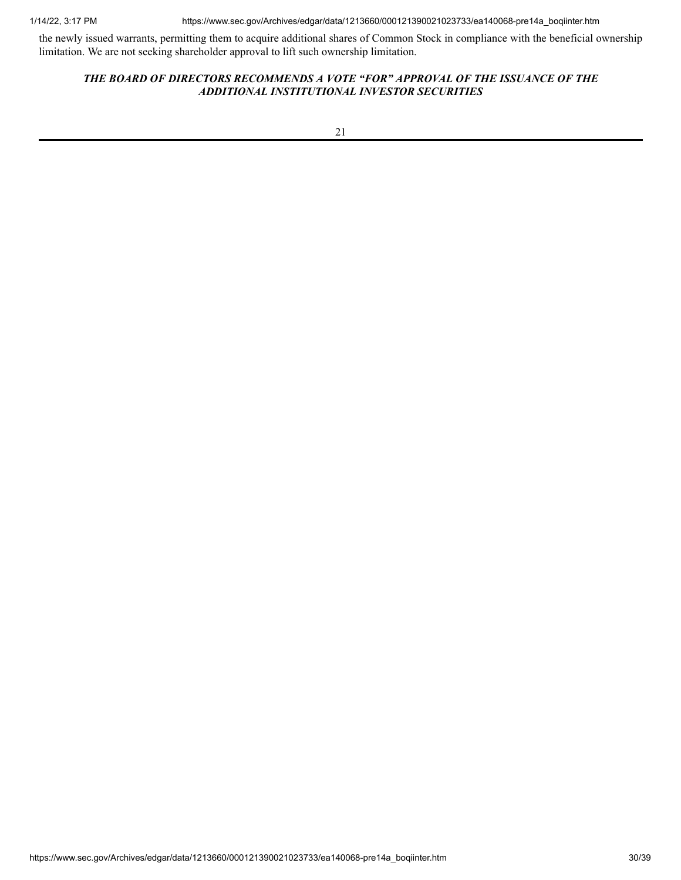1/14/22, 3:17 PM https://www.sec.gov/Archives/edgar/data/1213660/000121390021023733/ea140068-pre14a\_boqiinter.htm

the newly issued warrants, permitting them to acquire additional shares of Common Stock in compliance with the beneficial ownership limitation. We are not seeking shareholder approval to lift such ownership limitation.

# *THE BOARD OF DIRECTORS RECOMMENDS A VOTE "FOR" APPROVAL OF THE ISSUANCE OF THE ADDITIONAL INSTITUTIONAL INVESTOR SECURITIES*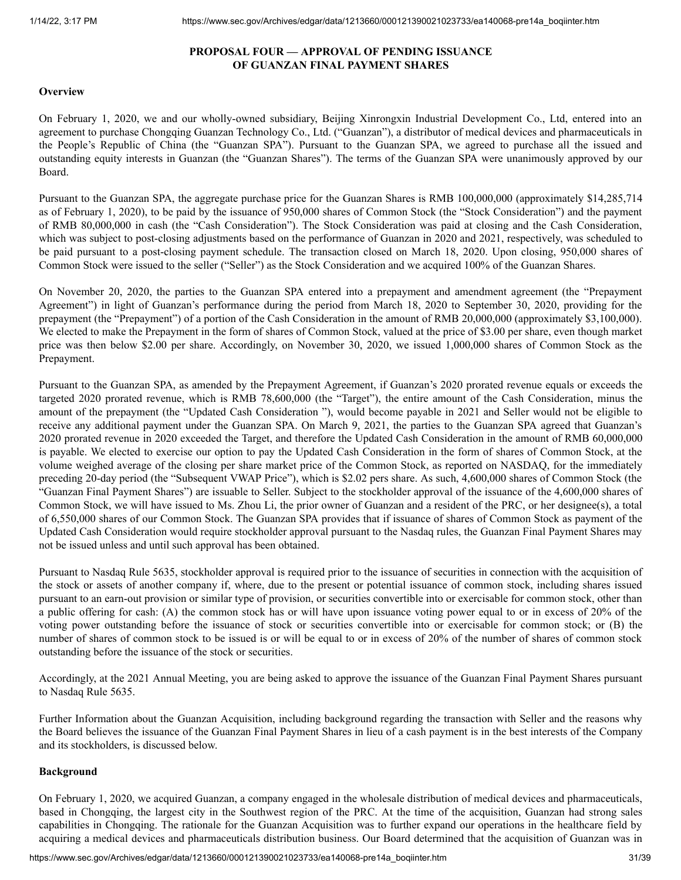## **PROPOSAL FOUR — APPROVAL OF PENDING ISSUANCE OF GUANZAN FINAL PAYMENT SHARES**

## <span id="page-30-0"></span>**Overview**

On February 1, 2020, we and our wholly-owned subsidiary, Beijing Xinrongxin Industrial Development Co., Ltd, entered into an agreement to purchase Chongqing Guanzan Technology Co., Ltd. ("Guanzan"), a distributor of medical devices and pharmaceuticals in the People's Republic of China (the "Guanzan SPA"). Pursuant to the Guanzan SPA, we agreed to purchase all the issued and outstanding equity interests in Guanzan (the "Guanzan Shares"). The terms of the Guanzan SPA were unanimously approved by our Board.

Pursuant to the Guanzan SPA, the aggregate purchase price for the Guanzan Shares is RMB 100,000,000 (approximately \$14,285,714 as of February 1, 2020), to be paid by the issuance of 950,000 shares of Common Stock (the "Stock Consideration") and the payment of RMB 80,000,000 in cash (the "Cash Consideration"). The Stock Consideration was paid at closing and the Cash Consideration, which was subject to post-closing adjustments based on the performance of Guanzan in 2020 and 2021, respectively, was scheduled to be paid pursuant to a post-closing payment schedule. The transaction closed on March 18, 2020. Upon closing, 950,000 shares of Common Stock were issued to the seller ("Seller") as the Stock Consideration and we acquired 100% of the Guanzan Shares.

On November 20, 2020, the parties to the Guanzan SPA entered into a prepayment and amendment agreement (the "Prepayment Agreement") in light of Guanzan's performance during the period from March 18, 2020 to September 30, 2020, providing for the prepayment (the "Prepayment") of a portion of the Cash Consideration in the amount of RMB 20,000,000 (approximately \$3,100,000). We elected to make the Prepayment in the form of shares of Common Stock, valued at the price of \$3.00 per share, even though market price was then below \$2.00 per share. Accordingly, on November 30, 2020, we issued 1,000,000 shares of Common Stock as the Prepayment.

Pursuant to the Guanzan SPA, as amended by the Prepayment Agreement, if Guanzan's 2020 prorated revenue equals or exceeds the targeted 2020 prorated revenue, which is RMB 78,600,000 (the "Target"), the entire amount of the Cash Consideration, minus the amount of the prepayment (the "Updated Cash Consideration "), would become payable in 2021 and Seller would not be eligible to receive any additional payment under the Guanzan SPA. On March 9, 2021, the parties to the Guanzan SPA agreed that Guanzan's 2020 prorated revenue in 2020 exceeded the Target, and therefore the Updated Cash Consideration in the amount of RMB 60,000,000 is payable. We elected to exercise our option to pay the Updated Cash Consideration in the form of shares of Common Stock, at the volume weighed average of the closing per share market price of the Common Stock, as reported on NASDAQ, for the immediately preceding 20-day period (the "Subsequent VWAP Price"), which is \$2.02 pers share. As such, 4,600,000 shares of Common Stock (the "Guanzan Final Payment Shares") are issuable to Seller. Subject to the stockholder approval of the issuance of the 4,600,000 shares of Common Stock, we will have issued to Ms. Zhou Li, the prior owner of Guanzan and a resident of the PRC, or her designee(s), a total of 6,550,000 shares of our Common Stock. The Guanzan SPA provides that if issuance of shares of Common Stock as payment of the Updated Cash Consideration would require stockholder approval pursuant to the Nasdaq rules, the Guanzan Final Payment Shares may not be issued unless and until such approval has been obtained.

Pursuant to Nasdaq Rule 5635, stockholder approval is required prior to the issuance of securities in connection with the acquisition of the stock or assets of another company if, where, due to the present or potential issuance of common stock, including shares issued pursuant to an earn-out provision or similar type of provision, or securities convertible into or exercisable for common stock, other than a public offering for cash: (A) the common stock has or will have upon issuance voting power equal to or in excess of 20% of the voting power outstanding before the issuance of stock or securities convertible into or exercisable for common stock; or (B) the number of shares of common stock to be issued is or will be equal to or in excess of 20% of the number of shares of common stock outstanding before the issuance of the stock or securities.

Accordingly, at the 2021 Annual Meeting, you are being asked to approve the issuance of the Guanzan Final Payment Shares pursuant to Nasdaq Rule 5635.

Further Information about the Guanzan Acquisition, including background regarding the transaction with Seller and the reasons why the Board believes the issuance of the Guanzan Final Payment Shares in lieu of a cash payment is in the best interests of the Company and its stockholders, is discussed below.

## **Background**

On February 1, 2020, we acquired Guanzan, a company engaged in the wholesale distribution of medical devices and pharmaceuticals, based in Chongqing, the largest city in the Southwest region of the PRC. At the time of the acquisition, Guanzan had strong sales capabilities in Chongqing. The rationale for the Guanzan Acquisition was to further expand our operations in the healthcare field by acquiring a medical devices and pharmaceuticals distribution business. Our Board determined that the acquisition of Guanzan was in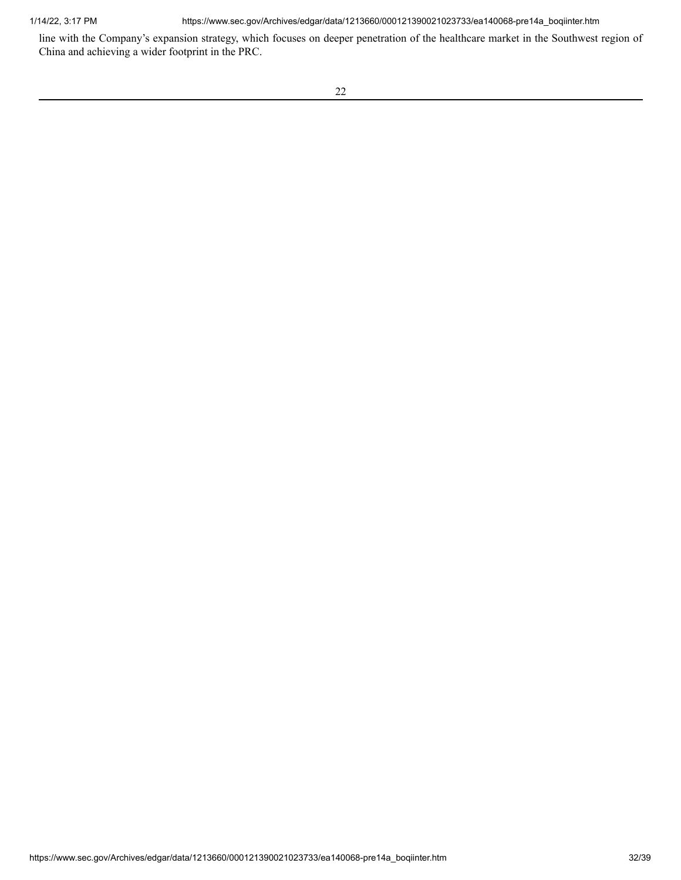1/14/22, 3:17 PM https://www.sec.gov/Archives/edgar/data/1213660/000121390021023733/ea140068-pre14a\_boqiinter.htm

line with the Company's expansion strategy, which focuses on deeper penetration of the healthcare market in the Southwest region of China and achieving a wider footprint in the PRC.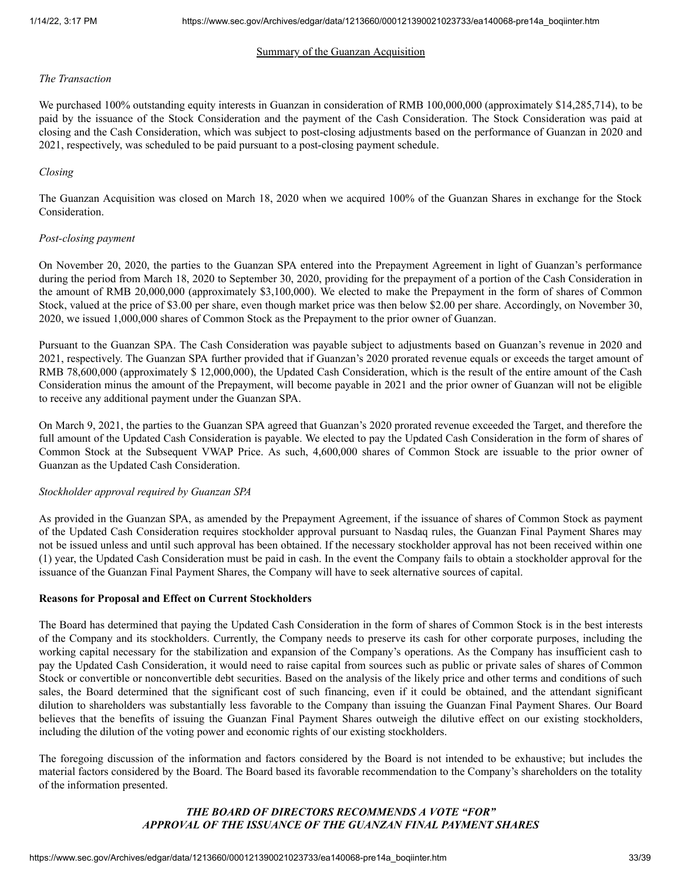## Summary of the Guanzan Acquisition

#### *The Transaction*

We purchased 100% outstanding equity interests in Guanzan in consideration of RMB 100,000,000 (approximately \$14,285,714), to be paid by the issuance of the Stock Consideration and the payment of the Cash Consideration. The Stock Consideration was paid at closing and the Cash Consideration, which was subject to post-closing adjustments based on the performance of Guanzan in 2020 and 2021, respectively, was scheduled to be paid pursuant to a post-closing payment schedule.

## *Closing*

The Guanzan Acquisition was closed on March 18, 2020 when we acquired 100% of the Guanzan Shares in exchange for the Stock Consideration.

## *Post-closing payment*

On November 20, 2020, the parties to the Guanzan SPA entered into the Prepayment Agreement in light of Guanzan's performance during the period from March 18, 2020 to September 30, 2020, providing for the prepayment of a portion of the Cash Consideration in the amount of RMB 20,000,000 (approximately \$3,100,000). We elected to make the Prepayment in the form of shares of Common Stock, valued at the price of \$3.00 per share, even though market price was then below \$2.00 per share. Accordingly, on November 30, 2020, we issued 1,000,000 shares of Common Stock as the Prepayment to the prior owner of Guanzan.

Pursuant to the Guanzan SPA. The Cash Consideration was payable subject to adjustments based on Guanzan's revenue in 2020 and 2021, respectively. The Guanzan SPA further provided that if Guanzan's 2020 prorated revenue equals or exceeds the target amount of RMB 78,600,000 (approximately \$ 12,000,000), the Updated Cash Consideration, which is the result of the entire amount of the Cash Consideration minus the amount of the Prepayment, will become payable in 2021 and the prior owner of Guanzan will not be eligible to receive any additional payment under the Guanzan SPA.

On March 9, 2021, the parties to the Guanzan SPA agreed that Guanzan's 2020 prorated revenue exceeded the Target, and therefore the full amount of the Updated Cash Consideration is payable. We elected to pay the Updated Cash Consideration in the form of shares of Common Stock at the Subsequent VWAP Price. As such, 4,600,000 shares of Common Stock are issuable to the prior owner of Guanzan as the Updated Cash Consideration.

## *Stockholder approval required by Guanzan SPA*

As provided in the Guanzan SPA, as amended by the Prepayment Agreement, if the issuance of shares of Common Stock as payment of the Updated Cash Consideration requires stockholder approval pursuant to Nasdaq rules, the Guanzan Final Payment Shares may not be issued unless and until such approval has been obtained. If the necessary stockholder approval has not been received within one (1) year, the Updated Cash Consideration must be paid in cash. In the event the Company fails to obtain a stockholder approval for the issuance of the Guanzan Final Payment Shares, the Company will have to seek alternative sources of capital.

## **Reasons for Proposal and Effect on Current Stockholders**

The Board has determined that paying the Updated Cash Consideration in the form of shares of Common Stock is in the best interests of the Company and its stockholders. Currently, the Company needs to preserve its cash for other corporate purposes, including the working capital necessary for the stabilization and expansion of the Company's operations. As the Company has insufficient cash to pay the Updated Cash Consideration, it would need to raise capital from sources such as public or private sales of shares of Common Stock or convertible or nonconvertible debt securities. Based on the analysis of the likely price and other terms and conditions of such sales, the Board determined that the significant cost of such financing, even if it could be obtained, and the attendant significant dilution to shareholders was substantially less favorable to the Company than issuing the Guanzan Final Payment Shares. Our Board believes that the benefits of issuing the Guanzan Final Payment Shares outweigh the dilutive effect on our existing stockholders, including the dilution of the voting power and economic rights of our existing stockholders.

The foregoing discussion of the information and factors considered by the Board is not intended to be exhaustive; but includes the material factors considered by the Board. The Board based its favorable recommendation to the Company's shareholders on the totality of the information presented.

# *THE BOARD OF DIRECTORS RECOMMENDS A VOTE "FOR" APPROVAL OF THE ISSUANCE OF THE GUANZAN FINAL PAYMENT SHARES*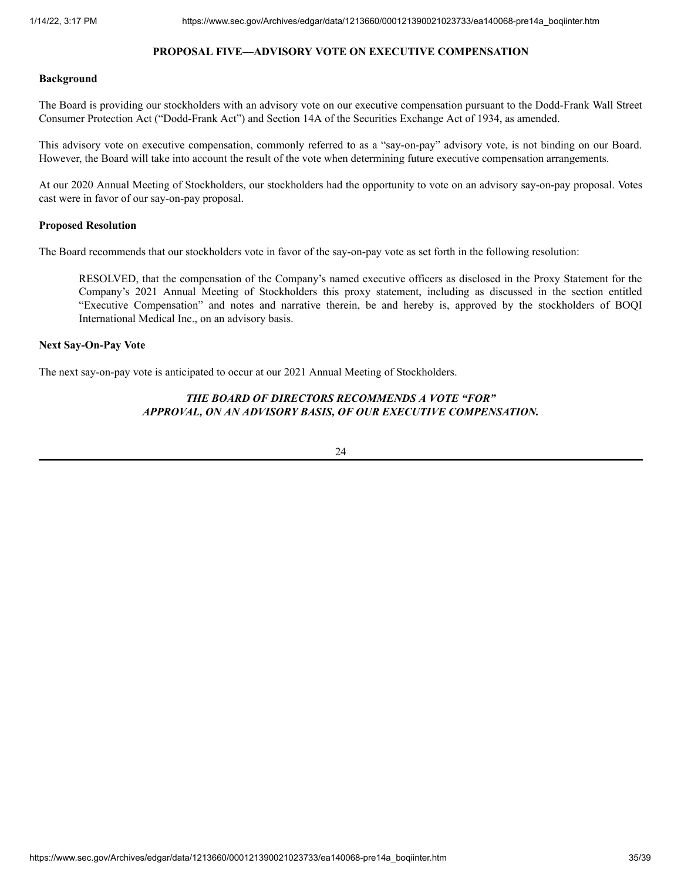# **PROPOSAL FIVE—ADVISORY VOTE ON EXECUTIVE COMPENSATION**

#### <span id="page-34-0"></span>**Background**

The Board is providing our stockholders with an advisory vote on our executive compensation pursuant to the Dodd-Frank Wall Street Consumer Protection Act ("Dodd-Frank Act") and Section 14A of the Securities Exchange Act of 1934, as amended.

This advisory vote on executive compensation, commonly referred to as a "say-on-pay" advisory vote, is not binding on our Board. However, the Board will take into account the result of the vote when determining future executive compensation arrangements.

At our 2020 Annual Meeting of Stockholders, our stockholders had the opportunity to vote on an advisory say-on-pay proposal. Votes cast were in favor of our say-on-pay proposal.

## **Proposed Resolution**

The Board recommends that our stockholders vote in favor of the say-on-pay vote as set forth in the following resolution:

RESOLVED, that the compensation of the Company's named executive officers as disclosed in the Proxy Statement for the Company's 2021 Annual Meeting of Stockholders this proxy statement, including as discussed in the section entitled "Executive Compensation" and notes and narrative therein, be and hereby is, approved by the stockholders of BOQI International Medical Inc., on an advisory basis.

## **Next Say-On-Pay Vote**

The next say-on-pay vote is anticipated to occur at our 2021 Annual Meeting of Stockholders.

# *THE BOARD OF DIRECTORS RECOMMENDS A VOTE "FOR" APPROVAL, ON AN ADVISORY BASIS, OF OUR EXECUTIVE COMPENSATION.*

24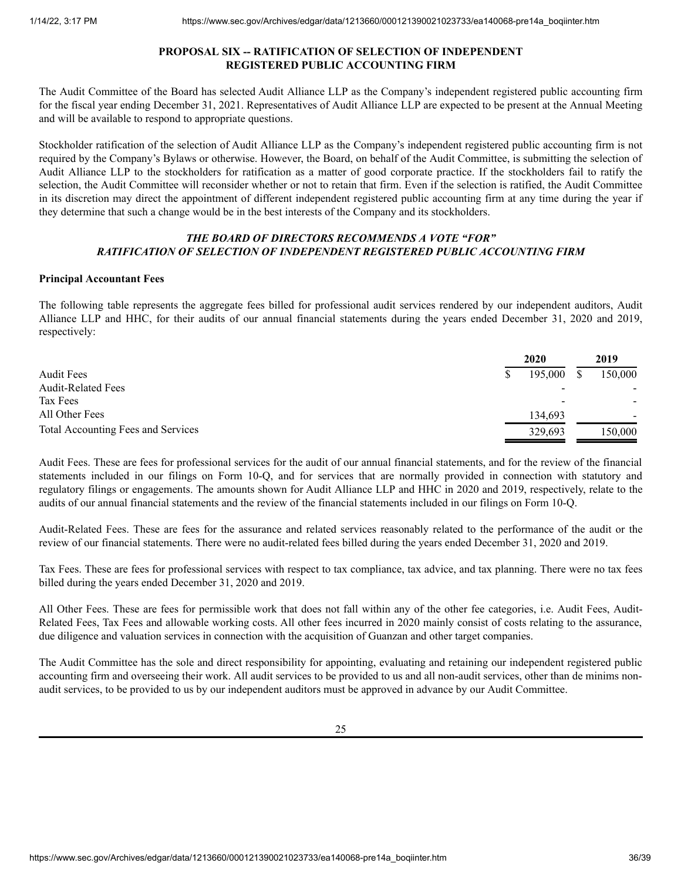## **PROPOSAL SIX -- RATIFICATION OF SELECTION OF INDEPENDENT REGISTERED PUBLIC ACCOUNTING FIRM**

<span id="page-35-0"></span>The Audit Committee of the Board has selected Audit Alliance LLP as the Company's independent registered public accounting firm for the fiscal year ending December 31, 2021. Representatives of Audit Alliance LLP are expected to be present at the Annual Meeting and will be available to respond to appropriate questions.

Stockholder ratification of the selection of Audit Alliance LLP as the Company's independent registered public accounting firm is not required by the Company's Bylaws or otherwise. However, the Board, on behalf of the Audit Committee, is submitting the selection of Audit Alliance LLP to the stockholders for ratification as a matter of good corporate practice. If the stockholders fail to ratify the selection, the Audit Committee will reconsider whether or not to retain that firm. Even if the selection is ratified, the Audit Committee in its discretion may direct the appointment of different independent registered public accounting firm at any time during the year if they determine that such a change would be in the best interests of the Company and its stockholders.

## *THE BOARD OF DIRECTORS RECOMMENDS A VOTE "FOR" RATIFICATION OF SELECTION OF INDEPENDENT REGISTERED PUBLIC ACCOUNTING FIRM*

## **Principal Accountant Fees**

The following table represents the aggregate fees billed for professional audit services rendered by our independent auditors, Audit Alliance LLP and HHC, for their audits of our annual financial statements during the years ended December 31, 2020 and 2019, respectively:

|                                    | 2020    | 2019    |
|------------------------------------|---------|---------|
| <b>Audit Fees</b>                  | 195,000 | 150,000 |
| <b>Audit-Related Fees</b>          |         |         |
| Tax Fees                           |         |         |
| All Other Fees                     | 134,693 | ۰       |
| Total Accounting Fees and Services | 329,693 | 150.000 |

Audit Fees. These are fees for professional services for the audit of our annual financial statements, and for the review of the financial statements included in our filings on Form 10-Q, and for services that are normally provided in connection with statutory and regulatory filings or engagements. The amounts shown for Audit Alliance LLP and HHC in 2020 and 2019, respectively, relate to the audits of our annual financial statements and the review of the financial statements included in our filings on Form 10-Q.

Audit-Related Fees. These are fees for the assurance and related services reasonably related to the performance of the audit or the review of our financial statements. There were no audit-related fees billed during the years ended December 31, 2020 and 2019.

Tax Fees. These are fees for professional services with respect to tax compliance, tax advice, and tax planning. There were no tax fees billed during the years ended December 31, 2020 and 2019.

All Other Fees. These are fees for permissible work that does not fall within any of the other fee categories, i.e. Audit Fees, Audit-Related Fees, Tax Fees and allowable working costs. All other fees incurred in 2020 mainly consist of costs relating to the assurance, due diligence and valuation services in connection with the acquisition of Guanzan and other target companies.

The Audit Committee has the sole and direct responsibility for appointing, evaluating and retaining our independent registered public accounting firm and overseeing their work. All audit services to be provided to us and all non-audit services, other than de minims nonaudit services, to be provided to us by our independent auditors must be approved in advance by our Audit Committee.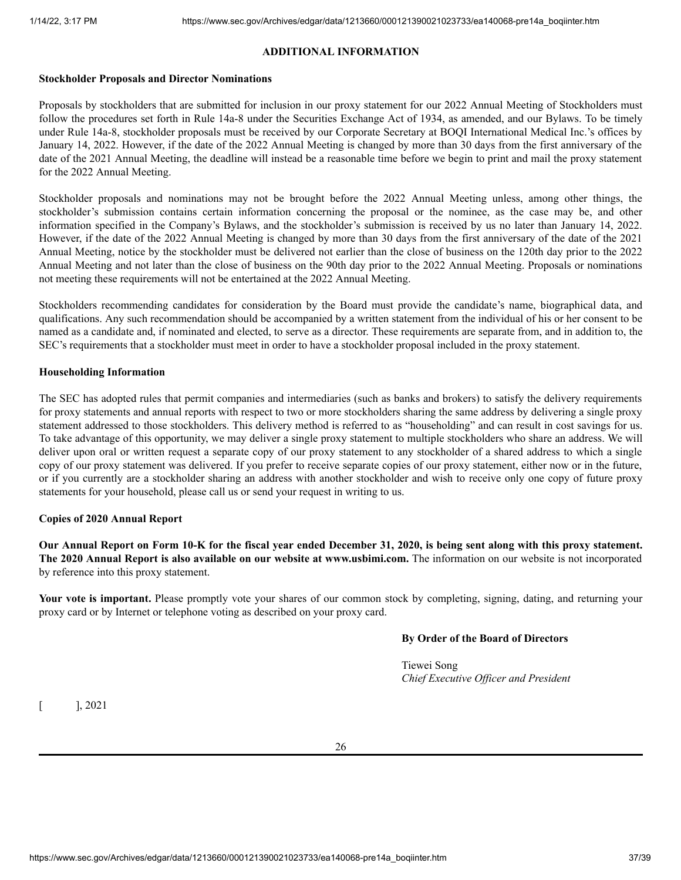# **ADDITIONAL INFORMATION**

## <span id="page-36-0"></span>**Stockholder Proposals and Director Nominations**

Proposals by stockholders that are submitted for inclusion in our proxy statement for our 2022 Annual Meeting of Stockholders must follow the procedures set forth in Rule 14a-8 under the Securities Exchange Act of 1934, as amended, and our Bylaws. To be timely under Rule 14a-8, stockholder proposals must be received by our Corporate Secretary at BOQI International Medical Inc.'s offices by January 14, 2022. However, if the date of the 2022 Annual Meeting is changed by more than 30 days from the first anniversary of the date of the 2021 Annual Meeting, the deadline will instead be a reasonable time before we begin to print and mail the proxy statement for the 2022 Annual Meeting.

Stockholder proposals and nominations may not be brought before the 2022 Annual Meeting unless, among other things, the stockholder's submission contains certain information concerning the proposal or the nominee, as the case may be, and other information specified in the Company's Bylaws, and the stockholder's submission is received by us no later than January 14, 2022. However, if the date of the 2022 Annual Meeting is changed by more than 30 days from the first anniversary of the date of the 2021 Annual Meeting, notice by the stockholder must be delivered not earlier than the close of business on the 120th day prior to the 2022 Annual Meeting and not later than the close of business on the 90th day prior to the 2022 Annual Meeting. Proposals or nominations not meeting these requirements will not be entertained at the 2022 Annual Meeting.

Stockholders recommending candidates for consideration by the Board must provide the candidate's name, biographical data, and qualifications. Any such recommendation should be accompanied by a written statement from the individual of his or her consent to be named as a candidate and, if nominated and elected, to serve as a director. These requirements are separate from, and in addition to, the SEC's requirements that a stockholder must meet in order to have a stockholder proposal included in the proxy statement.

# **Householding Information**

The SEC has adopted rules that permit companies and intermediaries (such as banks and brokers) to satisfy the delivery requirements for proxy statements and annual reports with respect to two or more stockholders sharing the same address by delivering a single proxy statement addressed to those stockholders. This delivery method is referred to as "householding" and can result in cost savings for us. To take advantage of this opportunity, we may deliver a single proxy statement to multiple stockholders who share an address. We will deliver upon oral or written request a separate copy of our proxy statement to any stockholder of a shared address to which a single copy of our proxy statement was delivered. If you prefer to receive separate copies of our proxy statement, either now or in the future, or if you currently are a stockholder sharing an address with another stockholder and wish to receive only one copy of future proxy statements for your household, please call us or send your request in writing to us.

# **Copies of 2020 Annual Report**

Our Annual Report on Form 10-K for the fiscal year ended December 31, 2020, is being sent along with this proxy statement. **The 2020 Annual Report is also available on our website at www.usbimi.com.** The information on our website is not incorporated by reference into this proxy statement.

**Your vote is important.** Please promptly vote your shares of our common stock by completing, signing, dating, and returning your proxy card or by Internet or telephone voting as described on your proxy card.

# **By Order of the Board of Directors**

Tiewei Song *Chief Executive Of icer and President*

 $[$  ], 2021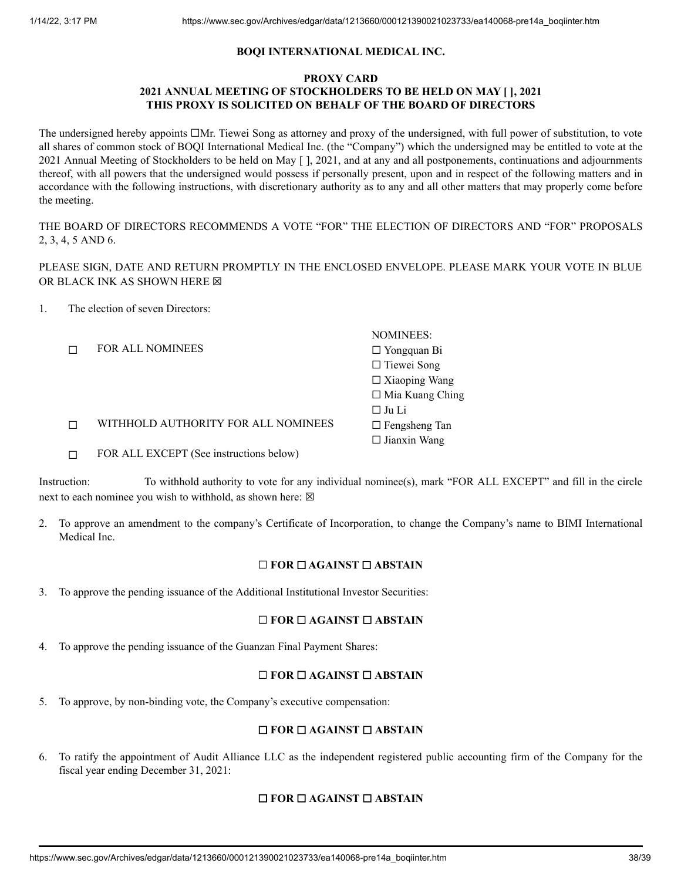# **BOQI INTERNATIONAL MEDICAL INC.**

# **PROXY CARD 2021 ANNUAL MEETING OF STOCKHOLDERS TO BE HELD ON MAY [ ], 2021 THIS PROXY IS SOLICITED ON BEHALF OF THE BOARD OF DIRECTORS**

The undersigned hereby appoints □Mr. Tiewei Song as attorney and proxy of the undersigned, with full power of substitution, to vote all shares of common stock of BOQI International Medical Inc. (the "Company") which the undersigned may be entitled to vote at the 2021 Annual Meeting of Stockholders to be held on May [ ], 2021, and at any and all postponements, continuations and adjournments thereof, with all powers that the undersigned would possess if personally present, upon and in respect of the following matters and in accordance with the following instructions, with discretionary authority as to any and all other matters that may properly come before the meeting.

THE BOARD OF DIRECTORS RECOMMENDS A VOTE "FOR" THE ELECTION OF DIRECTORS AND "FOR" PROPOSALS 2, 3, 4, 5 AND 6.

PLEASE SIGN, DATE AND RETURN PROMPTLY IN THE ENCLOSED ENVELOPE. PLEASE MARK YOUR VOTE IN BLUE OR BLACK INK AS SHOWN HERE  $box$ 

1. The election of seven Directors:

|                                         | <b>NOMINEES:</b>       |
|-----------------------------------------|------------------------|
| <b>FOR ALL NOMINEES</b>                 | $\Box$ Yongquan Bi     |
|                                         | $\Box$ Tiewei Song     |
|                                         | $\Box$ Xiaoping Wang   |
|                                         | $\Box$ Mia Kuang Ching |
|                                         | $\Box$ Ju Li           |
| WITHHOLD AUTHORITY FOR ALL NOMINEES     | $\Box$ Fengsheng Tan   |
|                                         | $\Box$ Jianxin Wang    |
| FOR ALL EXCEPT (See instructions below) |                        |

Instruction: To withhold authority to vote for any individual nominee(s), mark "FOR ALL EXCEPT" and fill in the circle next to each nominee you wish to withhold, as shown here:  $\boxtimes$ 

2. To approve an amendment to the company's Certificate of Incorporation, to change the Company's name to BIMI International Medical Inc.

# ☐ **FOR** ☐ **AGAINST** ☐ **ABSTAIN**

3. To approve the pending issuance of the Additional Institutional Investor Securities:

# ☐ **FOR** ☐ **AGAINST** ☐ **ABSTAIN**

4. To approve the pending issuance of the Guanzan Final Payment Shares:

# ☐ **FOR** ☐ **AGAINST** ☐ **ABSTAIN**

5. To approve, by non-binding vote, the Company's executive compensation:

# ☐ **FOR** ☐ **AGAINST** ☐ **ABSTAIN**

6. To ratify the appointment of Audit Alliance LLC as the independent registered public accounting firm of the Company for the fiscal year ending December 31, 2021:

# ☐ **FOR** ☐ **AGAINST** ☐ **ABSTAIN**